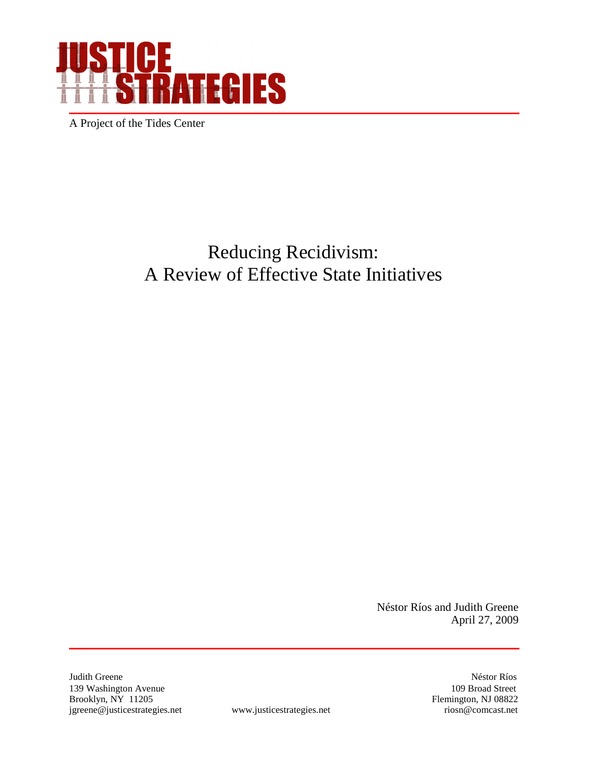

A Project of the Tides Center

# Reducing Recidivism: A Review of Effective State Initiatives

Néstor Ríos and Judith Greene April 27, 2009

Judith Greene Néstor Ríos 139 Washington Avenue 109 Broad Street<br>Brooklyn, NY 11205 Flemington, NJ 08822 jgreene@justicestrategies.net www.justicestrategies.net riosn@comcast.net

Brooklyn, NY 198822<br>
Flemington, NJ 08822<br>
riosn@comcast.net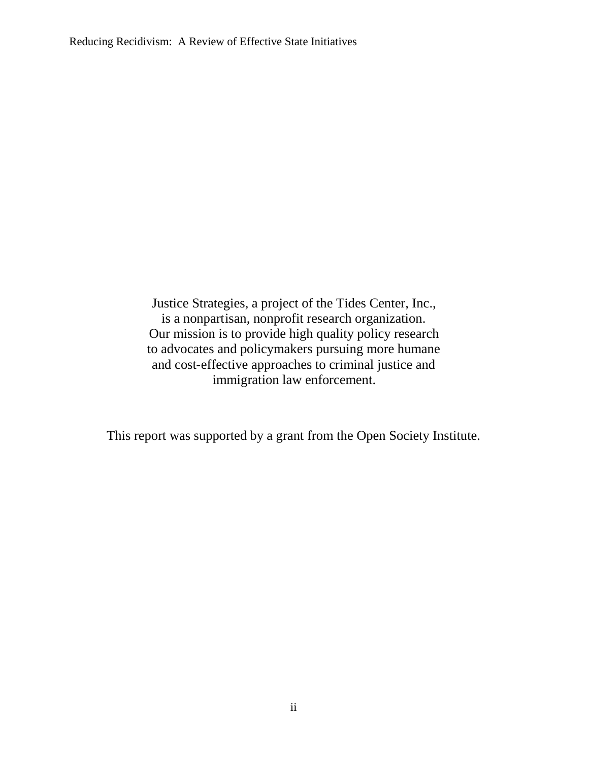Justice Strategies, a project of the Tides Center, Inc., is a nonpartisan, nonprofit research organization. Our mission is to provide high quality policy research to advocates and policymakers pursuing more humane and cost-effective approaches to criminal justice and immigration law enforcement.

This report was supported by a grant from the Open Society Institute.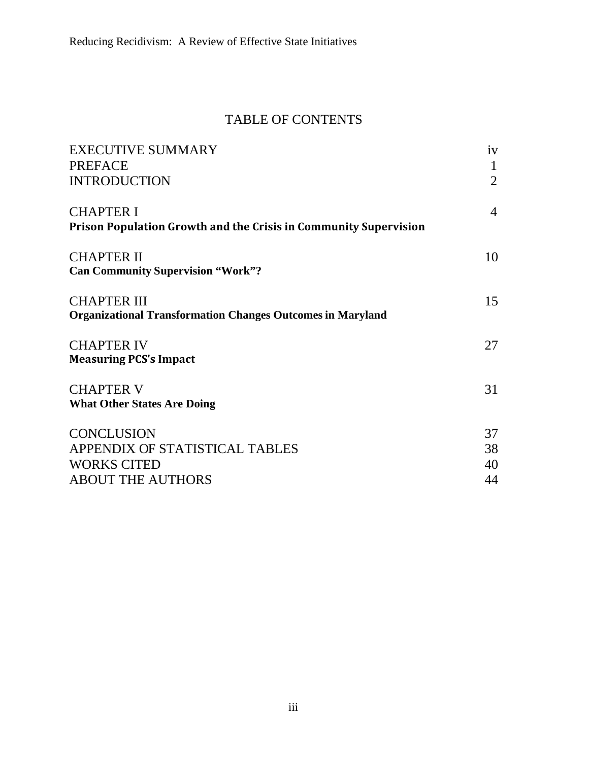## TABLE OF CONTENTS

| <b>EXECUTIVE SUMMARY</b>                                                | iv             |
|-------------------------------------------------------------------------|----------------|
| <b>PREFACE</b>                                                          | $\mathbf{1}$   |
| <b>INTRODUCTION</b>                                                     | $\overline{2}$ |
| <b>CHAPTER I</b>                                                        | $\overline{4}$ |
| <b>Prison Population Growth and the Crisis in Community Supervision</b> |                |
| <b>CHAPTER II</b>                                                       | 10             |
| <b>Can Community Supervision "Work"?</b>                                |                |
| <b>CHAPTER III</b>                                                      | 15             |
| <b>Organizational Transformation Changes Outcomes in Maryland</b>       |                |
| <b>CHAPTER IV</b>                                                       | 27             |
| <b>Measuring PCS's Impact</b>                                           |                |
| <b>CHAPTER V</b>                                                        | 31             |
| <b>What Other States Are Doing</b>                                      |                |
| <b>CONCLUSION</b>                                                       | 37             |
| APPENDIX OF STATISTICAL TABLES                                          | 38             |
| <b>WORKS CITED</b>                                                      | 40             |
| <b>ABOUT THE AUTHORS</b>                                                | 44             |
|                                                                         |                |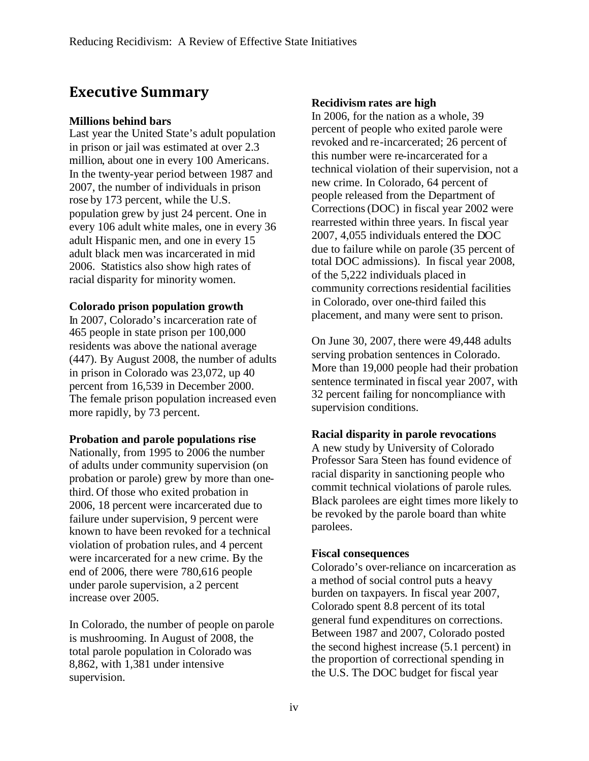## **Executive Summary**

#### **Millions behind bars**

Last year the United State's adult population in prison or jail was estimated at over 2.3 million, about one in every 100 Americans. In the twenty-year period between 1987 and 2007, the number of individuals in prison rose by 173 percent, while the U.S. population grew by just 24 percent. One in every 106 adult white males, one in every 36 adult Hispanic men, and one in every 15 adult black men was incarcerated in mid 2006. Statistics also show high rates of racial disparity for minority women.

#### **Colorado prison population growth**

In 2007, Colorado's incarceration rate of 465 people in state prison per 100,000 residents was above the national average (447). By August 2008, the number of adults in prison in Colorado was 23,072, up 40 percent from 16,539 in December 2000. The female prison population increased even more rapidly, by 73 percent.

#### **Probation and parole populations rise**

Nationally, from 1995 to 2006 the number of adults under community supervision (on probation or parole) grew by more than onethird. Of those who exited probation in 2006, 18 percent were incarcerated due to failure under supervision, 9 percent were known to have been revoked for a technical violation of probation rules, and 4 percent were incarcerated for a new crime. By the end of 2006, there were 780,616 people under parole supervision, a 2 percent increase over 2005.

In Colorado, the number of people on parole is mushrooming. In August of 2008, the total parole population in Colorado was 8,862, with 1,381 under intensive supervision.

#### **Recidivism rates are high**

In 2006, for the nation as a whole, 39 percent of people who exited parole were revoked and re-incarcerated; 26 percent of this number were re-incarcerated for a technical violation of their supervision, not a new crime. In Colorado, 64 percent of people released from the Department of Corrections(DOC) in fiscal year 2002 were rearrested within three years. In fiscal year 2007, 4,055 individuals entered the DOC due to failure while on parole (35 percent of total DOC admissions). In fiscal year 2008, of the 5,222 individuals placed in community corrections residential facilities in Colorado, over one-third failed this placement, and many were sent to prison.

On June 30, 2007, there were 49,448 adults serving probation sentences in Colorado. More than 19,000 people had their probation sentence terminated in fiscal year 2007, with 32 percent failing for noncompliance with supervision conditions.

#### **Racial disparity in parole revocations**

A new study by University of Colorado Professor Sara Steen has found evidence of racial disparity in sanctioning people who commit technical violations of parole rules. Black parolees are eight times more likely to be revoked by the parole board than white parolees.

#### **Fiscal consequences**

Colorado's over-reliance on incarceration as a method of social control puts a heavy burden on taxpayers. In fiscal year 2007, Colorado spent 8.8 percent of its total general fund expenditures on corrections. Between 1987 and 2007, Colorado posted the second highest increase (5.1 percent) in the proportion of correctional spending in the U.S. The DOC budget for fiscal year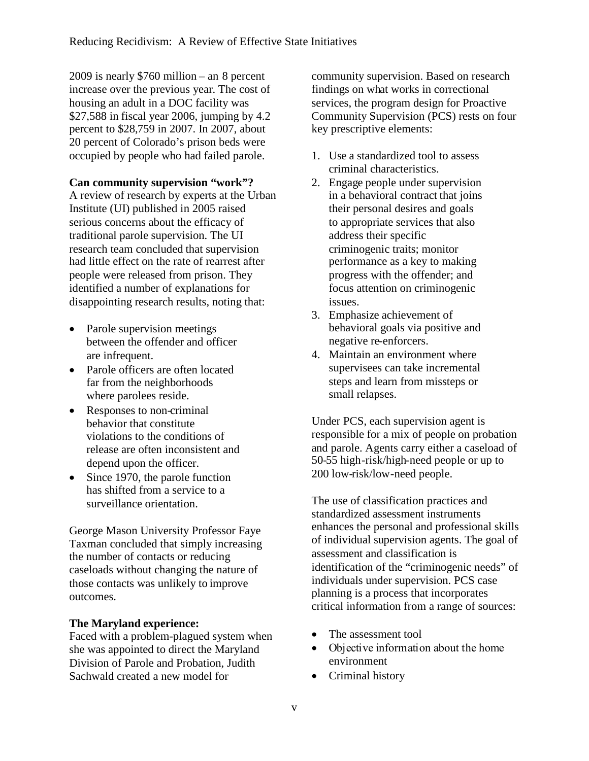2009 is nearly \$760 million – an 8 percent increase over the previous year. The cost of housing an adult in a DOC facility was \$27,588 in fiscal year 2006, jumping by 4.2 percent to \$28,759 in 2007. In 2007, about 20 percent of Colorado's prison beds were occupied by people who had failed parole.

#### **Can community supervision "work"?**

A review of research by experts at the Urban Institute (UI) published in 2005 raised serious concerns about the efficacy of traditional parole supervision. The UI research team concluded that supervision had little effect on the rate of rearrest after people were released from prison. They identified a number of explanations for disappointing research results, noting that:

- Parole supervision meetings between the offender and officer are infrequent.
- Parole officers are often located far from the neighborhoods where parolees reside.
- Responses to non-criminal behavior that constitute violations to the conditions of release are often inconsistent and depend upon the officer.
- Since 1970, the parole function has shifted from a service to a surveillance orientation.

George Mason University Professor Faye Taxman concluded that simply increasing the number of contacts or reducing caseloads without changing the nature of those contacts was unlikely to improve outcomes.

#### **The Maryland experience:**

Faced with a problem-plagued system when she was appointed to direct the Maryland Division of Parole and Probation, Judith Sachwald created a new model for

community supervision. Based on research findings on what works in correctional services, the program design for Proactive Community Supervision (PCS) rests on four key prescriptive elements:

- 1. Use a standardized tool to assess criminal characteristics.
- 2. Engage people under supervision in a behavioral contract that joins their personal desires and goals to appropriate services that also address their specific criminogenic traits; monitor performance as a key to making progress with the offender; and focus attention on criminogenic issues.
- 3. Emphasize achievement of behavioral goals via positive and negative re-enforcers.
- 4. Maintain an environment where supervisees can take incremental steps and learn from missteps or small relapses.

Under PCS, each supervision agent is responsible for a mix of people on probation and parole. Agents carry either a caseload of 50-55 high-risk/high-need people or up to 200 low-risk/low-need people.

The use of classification practices and standardized assessment instruments enhances the personal and professional skills of individual supervision agents. The goal of assessment and classification is identification of the "criminogenic needs" of individuals under supervision. PCS case planning is a process that incorporates critical information from a range of sources:

- The assessment tool
- Οbjective information about the home environment
- Criminal history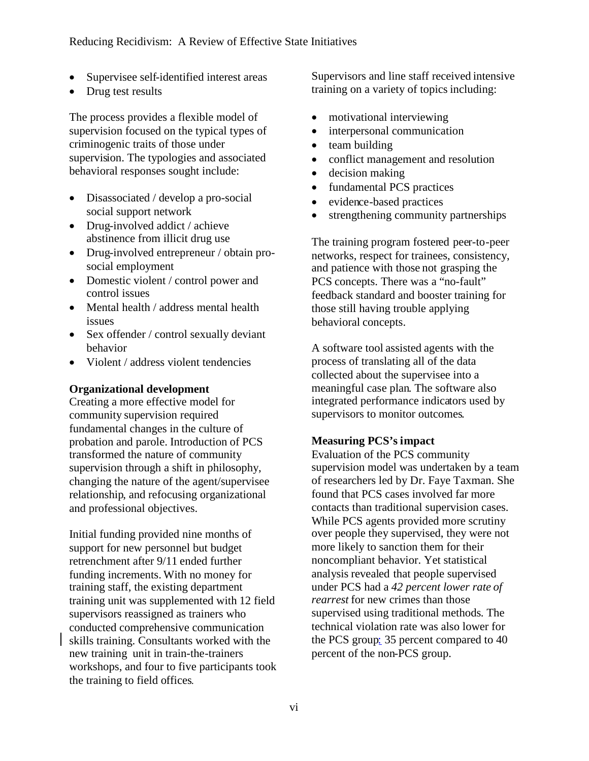- Supervisee self-identified interest areas
- Drug test results

The process provides a flexible model of supervision focused on the typical types of criminogenic traits of those under supervision. The typologies and associated behavioral responses sought include:

- Disassociated / develop a pro-social social support network
- Drug-involved addict / achieve abstinence from illicit drug use
- Drug-involved entrepreneur / obtain prosocial employment
- Domestic violent / control power and control issues
- Mental health / address mental health issues
- Sex offender / control sexually deviant behavior
- Violent / address violent tendencies

#### **Organizational development**

Creating a more effective model for community supervision required fundamental changes in the culture of probation and parole. Introduction of PCS transformed the nature of community supervision through a shift in philosophy, changing the nature of the agent/supervisee relationship, and refocusing organizational and professional objectives.

Initial funding provided nine months of support for new personnel but budget retrenchment after 9/11 ended further funding increments. With no money for training staff, the existing department training unit was supplemented with 12 field supervisors reassigned as trainers who conducted comprehensive communication skills training. Consultants worked with the new training unit in train-the-trainers workshops, and four to five participants took the training to field offices.

Supervisors and line staff received intensive training on a variety of topics including:

- motivational interviewing
- interpersonal communication
- $\bullet$  team building
- conflict management and resolution
- decision making
- fundamental PCS practices
- evidence-based practices
- strengthening community partnerships

The training program fostered peer-to-peer networks, respect for trainees, consistency, and patience with those not grasping the PCS concepts. There was a "no-fault" feedback standard and booster training for those still having trouble applying behavioral concepts.

A software tool assisted agents with the process of translating all of the data collected about the supervisee into a meaningful case plan. The software also integrated performance indicators used by supervisors to monitor outcomes.

#### **Measuring PCS's impact**

Evaluation of the PCS community supervision model was undertaken by a team of researchers led by Dr. Faye Taxman. She found that PCS cases involved far more contacts than traditional supervision cases. While PCS agents provided more scrutiny over people they supervised, they were not more likely to sanction them for their noncompliant behavior. Yet statistical analysis revealed that people supervised under PCS had a *42 percent lower rate of rearrest* for new crimes than those supervised using traditional methods. The technical violation rate was also lower for the PCS group: 35 percent compared to 40 percent of the non-PCS group.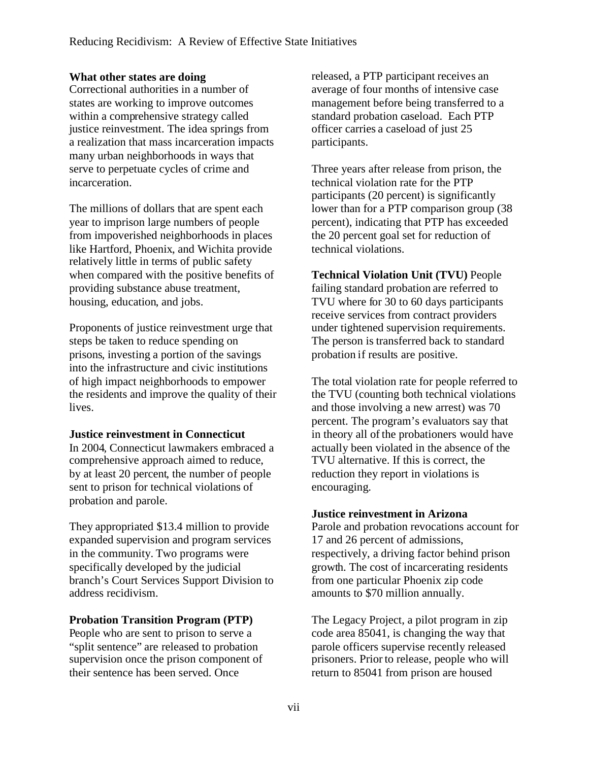#### **What other states are doing**

Correctional authorities in a number of states are working to improve outcomes within a comprehensive strategy called justice reinvestment. The idea springs from a realization that mass incarceration impacts many urban neighborhoods in ways that serve to perpetuate cycles of crime and incarceration.

The millions of dollars that are spent each year to imprison large numbers of people from impoverished neighborhoods in places like Hartford, Phoenix, and Wichita provide relatively little in terms of public safety when compared with the positive benefits of providing substance abuse treatment, housing, education, and jobs.

Proponents of justice reinvestment urge that steps be taken to reduce spending on prisons, investing a portion of the savings into the infrastructure and civic institutions of high impact neighborhoods to empower the residents and improve the quality of their lives.

#### **Justice reinvestment in Connecticut**

In 2004, Connecticut lawmakers embraced a comprehensive approach aimed to reduce, by at least 20 percent, the number of people sent to prison for technical violations of probation and parole.

They appropriated \$13.4 million to provide expanded supervision and program services in the community. Two programs were specifically developed by the judicial branch's Court Services Support Division to address recidivism.

#### **Probation Transition Program (PTP)**

People who are sent to prison to serve a "split sentence" are released to probation supervision once the prison component of their sentence has been served. Once

released, a PTP participant receives an average of four months of intensive case management before being transferred to a standard probation caseload. Each PTP officer carries a caseload of just 25 participants.

Three years after release from prison, the technical violation rate for the PTP participants (20 percent) is significantly lower than for a PTP comparison group (38 percent), indicating that PTP has exceeded the 20 percent goal set for reduction of technical violations.

**Technical Violation Unit (TVU)** People failing standard probation are referred to TVU where for 30 to 60 days participants receive services from contract providers under tightened supervision requirements. The person is transferred back to standard probation if results are positive.

The total violation rate for people referred to the TVU (counting both technical violations and those involving a new arrest) was 70 percent. The program's evaluators say that in theory all of the probationers would have actually been violated in the absence of the TVU alternative. If this is correct, the reduction they report in violations is encouraging.

#### **Justice reinvestment in Arizona**

Parole and probation revocations account for 17 and 26 percent of admissions, respectively, a driving factor behind prison growth. The cost of incarcerating residents from one particular Phoenix zip code amounts to \$70 million annually.

The Legacy Project, a pilot program in zip code area 85041, is changing the way that parole officers supervise recently released prisoners. Prior to release, people who will return to 85041 from prison are housed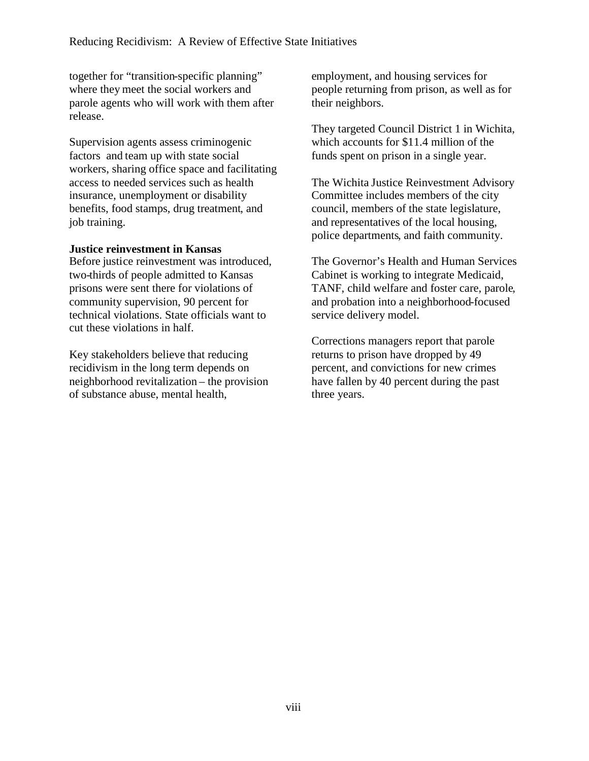together for "transition-specific planning" where they meet the social workers and parole agents who will work with them after release.

Supervision agents assess criminogenic factors and team up with state social workers, sharing office space and facilitating access to needed services such as health insurance, unemployment or disability benefits, food stamps, drug treatment, and job training.

#### **Justice reinvestment in Kansas**

Before justice reinvestment was introduced, two-thirds of people admitted to Kansas prisons were sent there for violations of community supervision, 90 percent for technical violations. State officials want to cut these violations in half.

Key stakeholders believe that reducing recidivism in the long term depends on neighborhood revitalization – the provision of substance abuse, mental health,

employment, and housing services for people returning from prison, as well as for their neighbors.

They targeted Council District 1 in Wichita, which accounts for \$11.4 million of the funds spent on prison in a single year.

The Wichita Justice Reinvestment Advisory Committee includes members of the city council, members of the state legislature, and representatives of the local housing, police departments, and faith community.

The Governor's Health and Human Services Cabinet is working to integrate Medicaid, TANF, child welfare and foster care, parole, and probation into a neighborhood-focused service delivery model.

Corrections managers report that parole returns to prison have dropped by 49 percent, and convictions for new crimes have fallen by 40 percent during the past three years.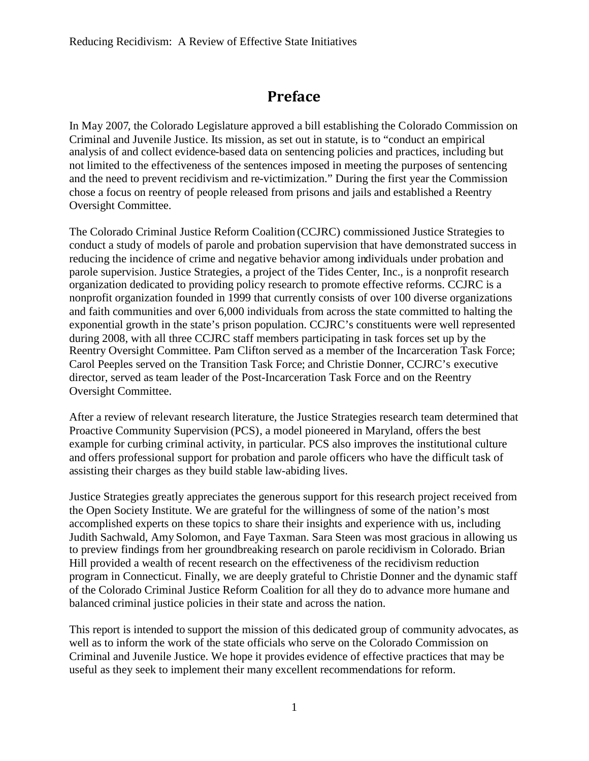## **Preface**

In May 2007, the Colorado Legislature approved a bill establishing the Colorado Commission on Criminal and Juvenile Justice. Its mission, as set out in statute, is to "conduct an empirical analysis of and collect evidence-based data on sentencing policies and practices, including but not limited to the effectiveness of the sentences imposed in meeting the purposes of sentencing and the need to prevent recidivism and re-victimization." During the first year the Commission chose a focus on reentry of people released from prisons and jails and established a Reentry Oversight Committee.

The Colorado Criminal Justice Reform Coalition (CCJRC) commissioned Justice Strategies to conduct a study of models of parole and probation supervision that have demonstrated success in reducing the incidence of crime and negative behavior among individuals under probation and parole supervision. Justice Strategies, a project of the Tides Center, Inc., is a nonprofit research organization dedicated to providing policy research to promote effective reforms. CCJRC is a nonprofit organization founded in 1999 that currently consists of over 100 diverse organizations and faith communities and over 6,000 individuals from across the state committed to halting the exponential growth in the state's prison population. CCJRC's constituents were well represented during 2008, with all three CCJRC staff members participating in task forces set up by the Reentry Oversight Committee. Pam Clifton served as a member of the Incarceration Task Force; Carol Peeples served on the Transition Task Force; and Christie Donner, CCJRC's executive director, served as team leader of the Post-Incarceration Task Force and on the Reentry Oversight Committee.

After a review of relevant research literature, the Justice Strategies research team determined that Proactive Community Supervision (PCS), a model pioneered in Maryland, offers the best example for curbing criminal activity, in particular. PCS also improves the institutional culture and offers professional support for probation and parole officers who have the difficult task of assisting their charges as they build stable law-abiding lives.

Justice Strategies greatly appreciates the generous support for this research project received from the Open Society Institute. We are grateful for the willingness of some of the nation's most accomplished experts on these topics to share their insights and experience with us, including Judith Sachwald, Amy Solomon, and Faye Taxman. Sara Steen was most gracious in allowing us to preview findings from her groundbreaking research on parole recidivism in Colorado. Brian Hill provided a wealth of recent research on the effectiveness of the recidivism reduction program in Connecticut. Finally, we are deeply grateful to Christie Donner and the dynamic staff of the Colorado Criminal Justice Reform Coalition for all they do to advance more humane and balanced criminal justice policies in their state and across the nation.

This report is intended to support the mission of this dedicated group of community advocates, as well as to inform the work of the state officials who serve on the Colorado Commission on Criminal and Juvenile Justice. We hope it provides evidence of effective practices that may be useful as they seek to implement their many excellent recommendations for reform.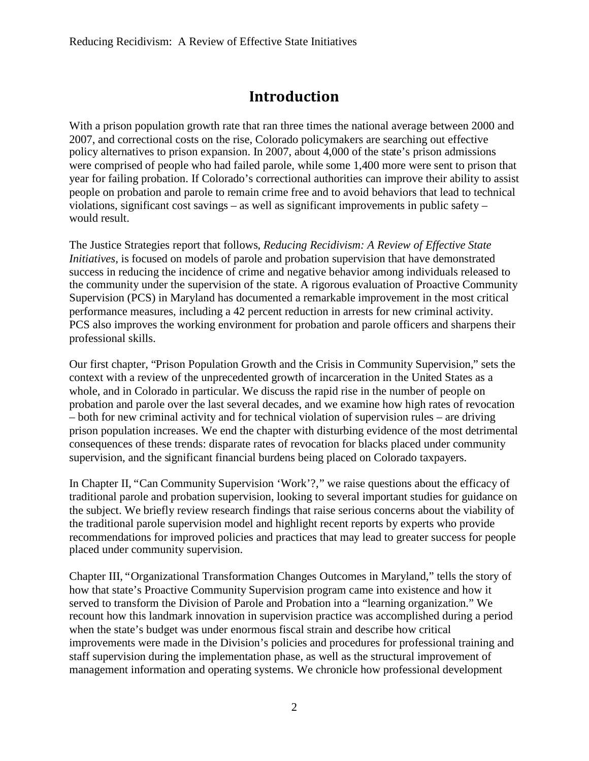## **Introduction**

With a prison population growth rate that ran three times the national average between 2000 and 2007, and correctional costs on the rise, Colorado policymakers are searching out effective policy alternatives to prison expansion. In 2007, about 4,000 of the state's prison admissions were comprised of people who had failed parole, while some 1,400 more were sent to prison that year for failing probation. If Colorado's correctional authorities can improve their ability to assist people on probation and parole to remain crime free and to avoid behaviors that lead to technical violations, significant cost savings – as well as significant improvements in public safety – would result.

The Justice Strategies report that follows, *Reducing Recidivism: A Review of Effective State Initiatives,* is focused on models of parole and probation supervision that have demonstrated success in reducing the incidence of crime and negative behavior among individuals released to the community under the supervision of the state. A rigorous evaluation of Proactive Community Supervision (PCS) in Maryland has documented a remarkable improvement in the most critical performance measures, including a 42 percent reduction in arrests for new criminal activity. PCS also improves the working environment for probation and parole officers and sharpens their professional skills.

Our first chapter, "Prison Population Growth and the Crisis in Community Supervision," sets the context with a review of the unprecedented growth of incarceration in the United States as a whole, and in Colorado in particular. We discuss the rapid rise in the number of people on probation and parole over the last several decades, and we examine how high rates of revocation – both for new criminal activity and for technical violation of supervision rules – are driving prison population increases. We end the chapter with disturbing evidence of the most detrimental consequences of these trends: disparate rates of revocation for blacks placed under community supervision, and the significant financial burdens being placed on Colorado taxpayers.

In Chapter II, "Can Community Supervision 'Work'?," we raise questions about the efficacy of traditional parole and probation supervision, looking to several important studies for guidance on the subject. We briefly review research findings that raise serious concerns about the viability of the traditional parole supervision model and highlight recent reports by experts who provide recommendations for improved policies and practices that may lead to greater success for people placed under community supervision.

Chapter III, "Organizational Transformation Changes Outcomes in Maryland," tells the story of how that state's Proactive Community Supervision program came into existence and how it served to transform the Division of Parole and Probation into a "learning organization." We recount how this landmark innovation in supervision practice was accomplished during a period when the state's budget was under enormous fiscal strain and describe how critical improvements were made in the Division's policies and procedures for professional training and staff supervision during the implementation phase, as well as the structural improvement of management information and operating systems. We chronicle how professional development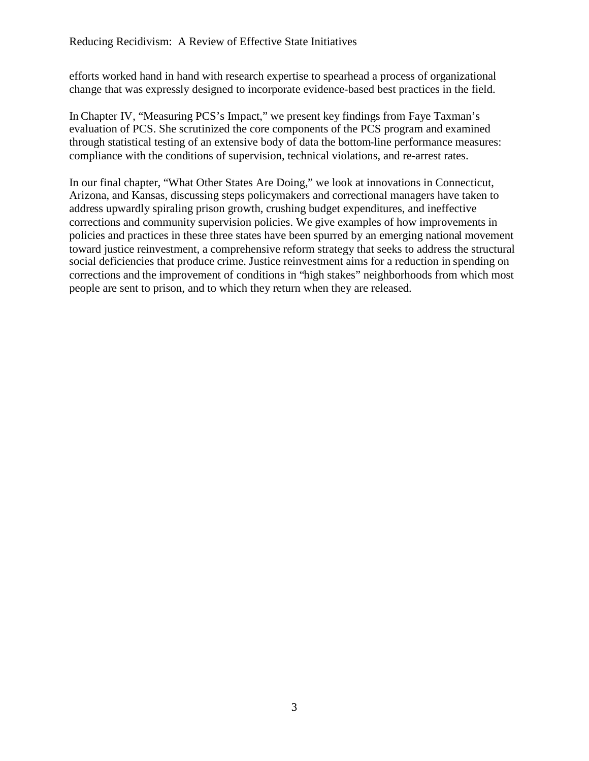efforts worked hand in hand with research expertise to spearhead a process of organizational change that was expressly designed to incorporate evidence-based best practices in the field.

In Chapter IV, "Measuring PCS's Impact," we present key findings from Faye Taxman's evaluation of PCS. She scrutinized the core components of the PCS program and examined through statistical testing of an extensive body of data the bottom-line performance measures: compliance with the conditions of supervision, technical violations, and re-arrest rates.

In our final chapter, "What Other States Are Doing," we look at innovations in Connecticut, Arizona, and Kansas, discussing steps policymakers and correctional managers have taken to address upwardly spiraling prison growth, crushing budget expenditures, and ineffective corrections and community supervision policies. We give examples of how improvements in policies and practices in these three states have been spurred by an emerging national movement toward justice reinvestment, a comprehensive reform strategy that seeks to address the structural social deficiencies that produce crime. Justice reinvestment aims for a reduction in spending on corrections and the improvement of conditions in "high stakes" neighborhoods from which most people are sent to prison, and to which they return when they are released.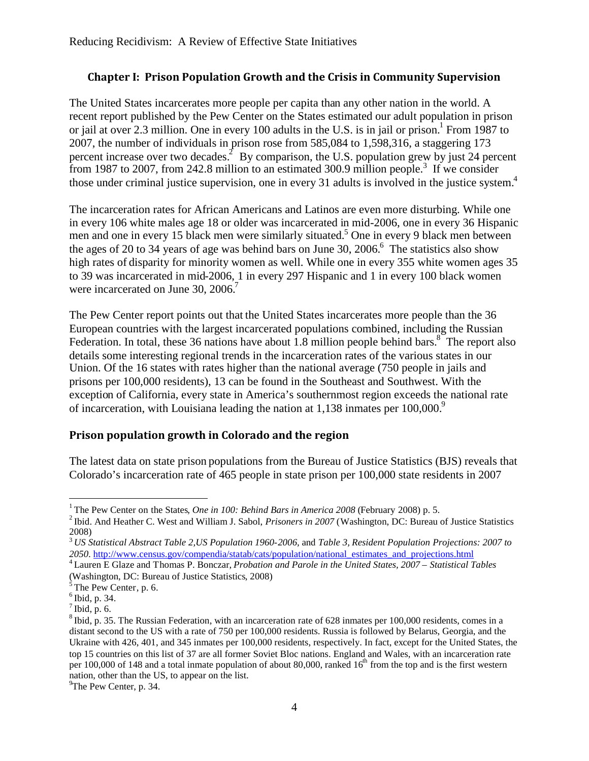### **Chapter I: Prison Population Growth and the Crisis in Community Supervision**

The United States incarcerates more people per capita than any other nation in the world. A recent report published by the Pew Center on the States estimated our adult population in prison or jail at over 2.3 million. One in every 100 adults in the U.S. is in jail or prison.<sup>1</sup> From 1987 to 2007, the number of individuals in prison rose from 585,084 to 1,598,316, a staggering 173 percent increase over two decades.<sup>2</sup> By comparison, the U.S. population grew by just 24 percent from 1987 to 2007, from 242.8 million to an estimated 300.9 million people.<sup>3</sup> If we consider those under criminal justice supervision, one in every 31 adults is involved in the justice system.<sup>4</sup>

The incarceration rates for African Americans and Latinos are even more disturbing. While one in every 106 white males age 18 or older was incarcerated in mid-2006, one in every 36 Hispanic men and one in every 15 black men were similarly situated.<sup>5</sup> One in every 9 black men between the ages of 20 to 34 years of age was behind bars on June 30, 2006.<sup>6</sup> The statistics also show high rates of disparity for minority women as well. While one in every 355 white women ages 35 to 39 was incarcerated in mid-2006, 1 in every 297 Hispanic and 1 in every 100 black women were incarcerated on June 30, 2006.<sup>7</sup>

The Pew Center report points out that the United States incarcerates more people than the 36 European countries with the largest incarcerated populations combined, including the Russian Federation. In total, these 36 nations have about 1.8 million people behind bars.  $8^{\circ}$  The report also details some interesting regional trends in the incarceration rates of the various states in our Union. Of the 16 states with rates higher than the national average (750 people in jails and prisons per 100,000 residents), 13 can be found in the Southeast and Southwest. With the exception of California, every state in America's southernmost region exceeds the national rate of incarceration, with Louisiana leading the nation at  $1.138$  inmates per  $100,000$ .<sup>9</sup>

## **Prison population growth in Colorado and the region**

The latest data on state prison populations from the Bureau of Justice Statistics (BJS) reveals that Colorado's incarceration rate of 465 people in state prison per 100,000 state residents in 2007

<sup>&</sup>lt;sup>1</sup> The Pew Center on the States, *One in 100: Behind Bars in America 2008* (February 2008) p. 5.

<sup>2</sup> Ibid. And Heather C. West and William J. Sabol, *Prisoners in 2007* (Washington, DC: Bureau of Justice Statistics 2008)

<sup>3</sup> *US Statistical Abstract Table 2,US Population 1960-2006,* and *Table 3, Resident Population Projections: 2007 to* 2050. http://www.census.gov/compendia/statab/cats/population/national\_estimates\_and\_projections.html

<sup>4</sup> Lauren E Glaze and Thomas P. Bonczar, *Probation and Parole in the United States, 2007 – Statistical Tables* (Washington, DC: Bureau of Justice Statistics, 2008) 5 The Pew Center, p. 6.

<sup>6</sup> Ibid, p. 34.

 $^7$  Ibid, p. 6.

 $^8$ Ibid, p. 35. The Russian Federation, with an incarceration rate of 628 inmates per 100,000 residents, comes in a distant second to the US with a rate of 750 per 100,000 residents. Russia is followed by Belarus, Georgia, and the Ukraine with 426, 401, and 345 inmates per 100,000 residents, respectively. In fact, except for the United States, the top 15 countries on this list of 37 are all former Soviet Bloc nations. England and Wales, with an incarceration rate per 100,000 of 148 and a total inmate population of about 80,000, ranked  $16<sup>th</sup>$  from the top and is the first western nation, other than the US, to appear on the list.

 $^{9}$ The Pew Center, p. 34.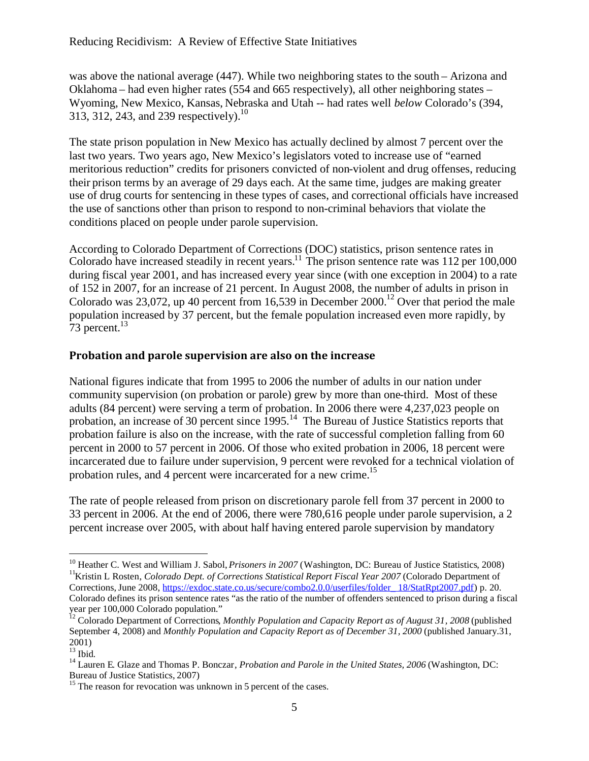was above the national average (447). While two neighboring states to the south – Arizona and Oklahoma – had even higher rates (554 and 665 respectively), all other neighboring states – Wyoming, New Mexico, Kansas, Nebraska and Utah -- had rates well *below* Colorado's (394, 313, 312, 243, and 239 respectively.<sup>10</sup>

The state prison population in New Mexico has actually declined by almost 7 percent over the last two years. Two years ago, New Mexico's legislators voted to increase use of "earned meritorious reduction" credits for prisoners convicted of non-violent and drug offenses, reducing their prison terms by an average of 29 days each. At the same time, judges are making greater use of drug courts for sentencing in these types of cases, and correctional officials have increased the use of sanctions other than prison to respond to non-criminal behaviors that violate the conditions placed on people under parole supervision.

According to Colorado Department of Corrections (DOC) statistics, prison sentence rates in Colorado have increased steadily in recent years.<sup>11</sup> The prison sentence rate was 112 per 100,000 during fiscal year 2001, and has increased every year since (with one exception in 2004) to a rate of 152 in 2007, for an increase of 21 percent. In August 2008, the number of adults in prison in Colorado was 23,072, up 40 percent from 16,539 in December 2000.<sup>12</sup> Over that period the male population increased by 37 percent, but the female population increased even more rapidly, by 73 percent. $13$ 

### **Probation and parole supervision are also on the increase**

National figures indicate that from 1995 to 2006 the number of adults in our nation under community supervision (on probation or parole) grew by more than one-third. Most of these adults (84 percent) were serving a term of probation. In 2006 there were 4,237,023 people on probation, an increase of 30 percent since  $1995$ <sup>14</sup>. The Bureau of Justice Statistics reports that probation failure is also on the increase, with the rate of successful completion falling from 60 percent in 2000 to 57 percent in 2006. Of those who exited probation in 2006, 18 percent were incarcerated due to failure under supervision, 9 percent were revoked for a technical violation of probation rules, and 4 percent were incarcerated for a new crime.<sup>15</sup>

The rate of people released from prison on discretionary parole fell from 37 percent in 2000 to 33 percent in 2006. At the end of 2006, there were 780,616 people under parole supervision, a 2 percent increase over 2005, with about half having entered parole supervision by mandatory

<sup>&</sup>lt;sup>10</sup> Heather C. West and William J. Sabol, *Prisoners in 2007* (Washington, DC: Bureau of Justice Statistics, 2008) <sup>11</sup>Kristin L Rosten, *Colorado Dept. of Corrections Statistical Report Fiscal Year 2007* (Colorado Department of Corrections, June 2008, https://exdoc.state.co.us/secure/combo2.0.0/userfiles/folder\_ 18/StatRpt2007.pdf) p. 20. Colorado defines its prison sentence rates "as the ratio of the number of offenders sentenced to prison during a fiscal year per 100,000 Colorado population."

<sup>12</sup> Colorado Department of Corrections, *Monthly Population and Capacity Report as of August 31, 2008* (published September 4, 2008) and *Monthly Population and Capacity Report as of December 31, 2000* (published January.31, 2001)

 $\frac{200}{13}$  Ibid.

<sup>&</sup>lt;sup>14</sup> Lauren E. Glaze and Thomas P. Bonczar, *Probation and Parole in the United States, 2006* (Washington, DC: Bureau of Justice Statistics, 2007)

 $15$  The reason for revocation was unknown in 5 percent of the cases.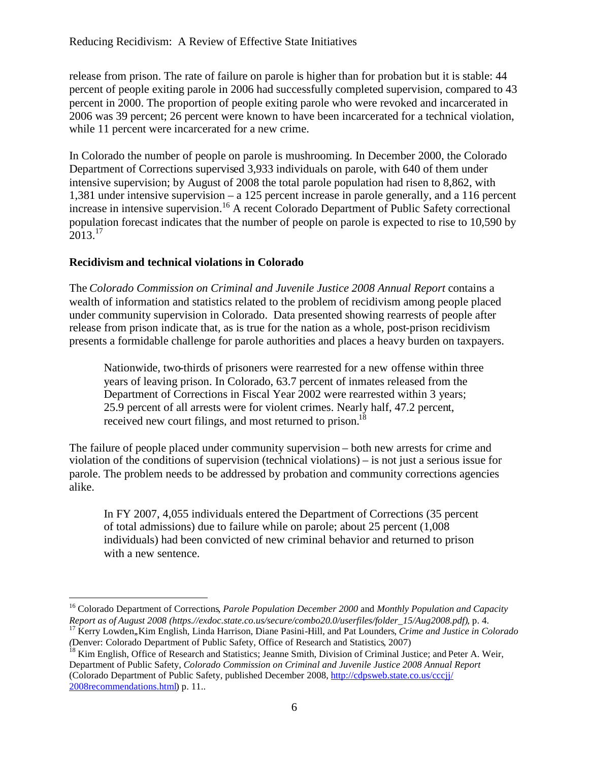release from prison. The rate of failure on parole is higher than for probation but it is stable: 44 percent of people exiting parole in 2006 had successfully completed supervision, compared to 43 percent in 2000. The proportion of people exiting parole who were revoked and incarcerated in 2006 was 39 percent; 26 percent were known to have been incarcerated for a technical violation, while 11 percent were incarcerated for a new crime.

In Colorado the number of people on parole is mushrooming. In December 2000, the Colorado Department of Corrections supervised 3,933 individuals on parole, with 640 of them under intensive supervision; by August of 2008 the total parole population had risen to 8,862, with 1,381 under intensive supervision – a 125 percent increase in parole generally, and a 116 percent increase in intensive supervision.<sup>16</sup> A recent Colorado Department of Public Safety correctional population forecast indicates that the number of people on parole is expected to rise to 10,590 by  $2013.<sup>17</sup>$ 

### **Recidivism and technical violations in Colorado**

The *Colorado Commission on Criminal and Juvenile Justice 2008 Annual Report* contains a wealth of information and statistics related to the problem of recidivism among people placed under community supervision in Colorado. Data presented showing rearrests of people after release from prison indicate that, as is true for the nation as a whole, post-prison recidivism presents a formidable challenge for parole authorities and places a heavy burden on taxpayers.

Nationwide, two-thirds of prisoners were rearrested for a new offense within three years of leaving prison. In Colorado, 63.7 percent of inmates released from the Department of Corrections in Fiscal Year 2002 were rearrested within 3 years; 25.9 percent of all arrests were for violent crimes. Nearly half, 47.2 percent, received new court filings, and most returned to prison.<sup>18</sup>

The failure of people placed under community supervision – both new arrests for crime and violation of the conditions of supervision (technical violations) – is not just a serious issue for parole. The problem needs to be addressed by probation and community corrections agencies alike.

In FY 2007, 4,055 individuals entered the Department of Corrections (35 percent of total admissions) due to failure while on parole; about 25 percent (1,008 individuals) had been convicted of new criminal behavior and returned to prison with a new sentence.

<sup>16</sup> Colorado Department of Corrections, *Parole Population December 2000* and *Monthly Population and Capacity Report as of August 2008 (https.//exdoc.state.co.us/secure/combo20.0/userfiles/folder\_15/Aug2008.pdf)*, p. 4. <sup>17</sup> Kerry Lowden,,Kim English, Linda Harrison, Diane Pasini-Hill, and Pat Lounders, *Crime and Justice in Colorado*

*<sup>(</sup>*Denver: Colorado Department of Public Safety, Office of Research and Statistics, 2007)

<sup>&</sup>lt;sup>18</sup> Kim English, Office of Research and Statistics; Jeanne Smith, Division of Criminal Justice; and Peter A. Weir, Department of Public Safety, *Colorado Commission on Criminal and Juvenile Justice 2008 Annual Report* (Colorado Department of Public Safety, published December 2008, http://cdpsweb.state.co.us/cccjj/ 2008recommendations.html) p. 11..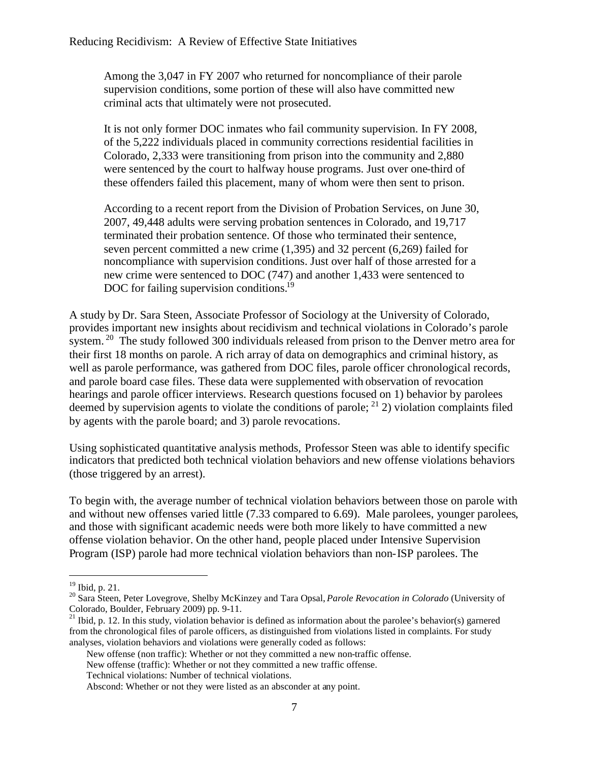Among the 3,047 in FY 2007 who returned for noncompliance of their parole supervision conditions, some portion of these will also have committed new criminal acts that ultimately were not prosecuted.

It is not only former DOC inmates who fail community supervision. In FY 2008, of the 5,222 individuals placed in community corrections residential facilities in Colorado, 2,333 were transitioning from prison into the community and 2,880 were sentenced by the court to halfway house programs. Just over one-third of these offenders failed this placement, many of whom were then sent to prison.

According to a recent report from the Division of Probation Services, on June 30, 2007, 49,448 adults were serving probation sentences in Colorado, and 19,717 terminated their probation sentence. Of those who terminated their sentence, seven percent committed a new crime (1,395) and 32 percent (6,269) failed for noncompliance with supervision conditions. Just over half of those arrested for a new crime were sentenced to DOC (747) and another 1,433 were sentenced to DOC for failing supervision conditions.<sup>19</sup>

A study by Dr. Sara Steen, Associate Professor of Sociology at the University of Colorado, provides important new insights about recidivism and technical violations in Colorado's parole system.<sup>20</sup> The study followed 300 individuals released from prison to the Denver metro area for their first 18 months on parole. A rich array of data on demographics and criminal history, as well as parole performance, was gathered from DOC files, parole officer chronological records, and parole board case files. These data were supplemented with observation of revocation hearings and parole officer interviews. Research questions focused on 1) behavior by parolees deemed by supervision agents to violate the conditions of parole;  $^{21}$  2) violation complaints filed by agents with the parole board; and 3) parole revocations.

Using sophisticated quantitative analysis methods, Professor Steen was able to identify specific indicators that predicted both technical violation behaviors and new offense violations behaviors (those triggered by an arrest).

To begin with, the average number of technical violation behaviors between those on parole with and without new offenses varied little (7.33 compared to 6.69). Male parolees, younger parolees, and those with significant academic needs were both more likely to have committed a new offense violation behavior. On the other hand, people placed under Intensive Supervision Program (ISP) parole had more technical violation behaviors than non-ISP parolees. The

New offense (traffic): Whether or not they committed a new traffic offense.

<sup>19</sup> Ibid, p. 21.

<sup>20</sup> Sara Steen, Peter Lovegrove, Shelby McKinzey and Tara Opsal, *Parole Revocation in Colorado* (University of Colorado, Boulder, February 2009) pp. 9-11.

<sup>&</sup>lt;sup>21</sup> Ibid, p. 12. In this study, violation behavior is defined as information about the parolee's behavior(s) garnered from the chronological files of parole officers, as distinguished from violations listed in complaints. For study analyses, violation behaviors and violations were generally coded as follows:

New offense (non traffic): Whether or not they committed a new non-traffic offense.

Technical violations: Number of technical violations.

Abscond: Whether or not they were listed as an absconder at any point.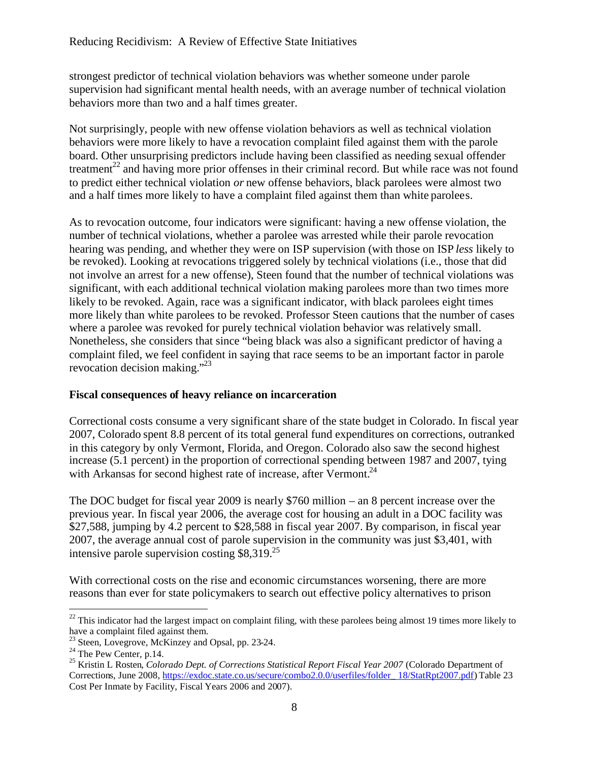strongest predictor of technical violation behaviors was whether someone under parole supervision had significant mental health needs, with an average number of technical violation behaviors more than two and a half times greater.

Not surprisingly, people with new offense violation behaviors as well as technical violation behaviors were more likely to have a revocation complaint filed against them with the parole board. Other unsurprising predictors include having been classified as needing sexual offender treatment<sup>22</sup> and having more prior offenses in their criminal record. But while race was not found to predict either technical violation *or* new offense behaviors, black parolees were almost two and a half times more likely to have a complaint filed against them than white parolees.

As to revocation outcome, four indicators were significant: having a new offense violation, the number of technical violations, whether a parolee was arrested while their parole revocation hearing was pending, and whether they were on ISP supervision (with those on ISP *less* likely to be revoked). Looking at revocations triggered solely by technical violations (i.e., those that did not involve an arrest for a new offense), Steen found that the number of technical violations was significant, with each additional technical violation making parolees more than two times more likely to be revoked. Again, race was a significant indicator, with black parolees eight times more likely than white parolees to be revoked. Professor Steen cautions that the number of cases where a parolee was revoked for purely technical violation behavior was relatively small. Nonetheless, she considers that since "being black was also a significant predictor of having a complaint filed, we feel confident in saying that race seems to be an important factor in parole revocation decision making."<sup>23</sup>

#### **Fiscal consequences of heavy reliance on incarceration**

Correctional costs consume a very significant share of the state budget in Colorado. In fiscal year 2007, Colorado spent 8.8 percent of its total general fund expenditures on corrections, outranked in this category by only Vermont, Florida, and Oregon. Colorado also saw the second highest increase (5.1 percent) in the proportion of correctional spending between 1987 and 2007, tying with Arkansas for second highest rate of increase, after Vermont.<sup>24</sup>

The DOC budget for fiscal year 2009 is nearly \$760 million – an 8 percent increase over the previous year. In fiscal year 2006, the average cost for housing an adult in a DOC facility was \$27,588, jumping by 4.2 percent to \$28,588 in fiscal year 2007. By comparison, in fiscal year 2007, the average annual cost of parole supervision in the community was just \$3,401, with intensive parole supervision costing  $$8,319.<sup>25</sup>$ 

With correctional costs on the rise and economic circumstances worsening, there are more reasons than ever for state policymakers to search out effective policy alternatives to prison

 $22$  This indicator had the largest impact on complaint filing, with these parolees being almost 19 times more likely to have a complaint filed against them.

<sup>&</sup>lt;sup>23</sup> Steen, Lovegrove, McKinzey and Opsal, pp. 23-24.

 $^{24}$  The Pew Center, p.14.

<sup>&</sup>lt;sup>25</sup> Kristin L Rosten, *Colorado Dept. of Corrections Statistical Report Fiscal Year 2007* (Colorado Department of Corrections, June 2008, https://exdoc.state.co.us/secure/combo2.0.0/userfiles/folder\_ 18/StatRpt2007.pdf) Table 23 Cost Per Inmate by Facility, Fiscal Years 2006 and 2007).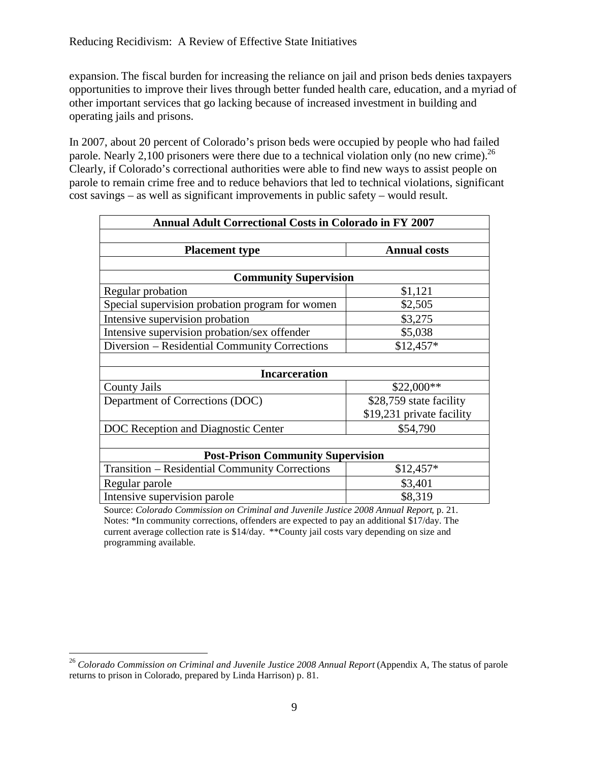expansion. The fiscal burden for increasing the reliance on jail and prison beds denies taxpayers opportunities to improve their lives through better funded health care, education, and a myriad of other important services that go lacking because of increased investment in building and operating jails and prisons.

In 2007, about 20 percent of Colorado's prison beds were occupied by people who had failed parole. Nearly 2,100 prisoners were there due to a technical violation only (no new crime).<sup>26</sup> Clearly, if Colorado's correctional authorities were able to find new ways to assist people on parole to remain crime free and to reduce behaviors that led to technical violations, significant cost savings – as well as significant improvements in public safety – would result.

| <b>Annual Adult Correctional Costs in Colorado in FY 2007</b> |                           |  |  |  |
|---------------------------------------------------------------|---------------------------|--|--|--|
|                                                               |                           |  |  |  |
| <b>Placement type</b>                                         | <b>Annual costs</b>       |  |  |  |
|                                                               |                           |  |  |  |
| <b>Community Supervision</b>                                  |                           |  |  |  |
| Regular probation                                             | \$1,121                   |  |  |  |
| Special supervision probation program for women               | \$2,505                   |  |  |  |
| Intensive supervision probation                               | \$3,275                   |  |  |  |
| Intensive supervision probation/sex offender                  | \$5,038                   |  |  |  |
| Diversion – Residential Community Corrections                 | $$12,457*$                |  |  |  |
|                                                               |                           |  |  |  |
| <b>Incarceration</b>                                          |                           |  |  |  |
| <b>County Jails</b>                                           | $$22,000**$               |  |  |  |
| Department of Corrections (DOC)                               | \$28,759 state facility   |  |  |  |
|                                                               | \$19,231 private facility |  |  |  |
| DOC Reception and Diagnostic Center                           | \$54,790                  |  |  |  |
|                                                               |                           |  |  |  |
| <b>Post-Prison Community Supervision</b>                      |                           |  |  |  |
| <b>Transition - Residential Community Corrections</b>         | $$12,457*$                |  |  |  |
| Regular parole                                                | \$3,401                   |  |  |  |
| Intensive supervision parole                                  | \$8,319                   |  |  |  |

Source: *Colorado Commission on Criminal and Juvenile Justice 2008 Annual Report*, p. 21. Notes: \*In community corrections, offenders are expected to pay an additional \$17/day. The current average collection rate is \$14/day. \*\*County jail costs vary depending on size and programming available.

<sup>&</sup>lt;sup>26</sup> Colorado Commission on Criminal and Juvenile Justice 2008 Annual Report (Appendix A, The status of parole returns to prison in Colorado, prepared by Linda Harrison) p. 81.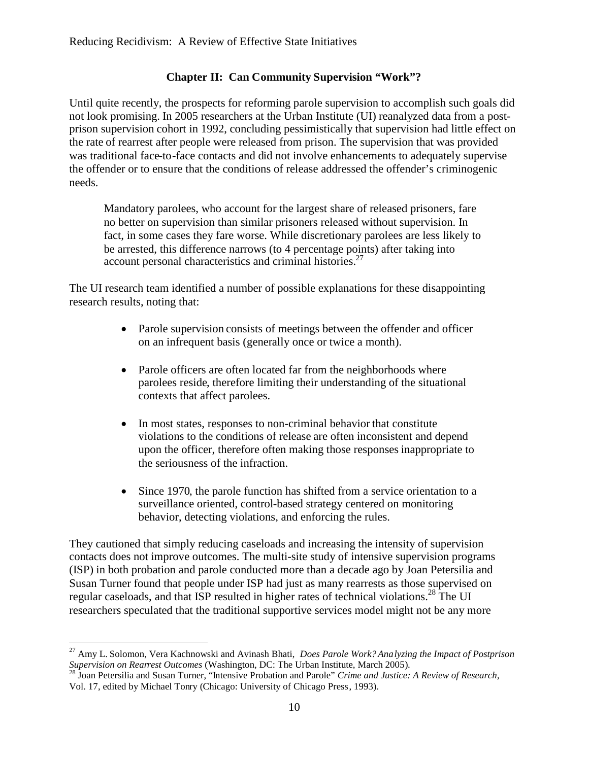## **Chapter II: Can Community Supervision "Work"?**

Until quite recently, the prospects for reforming parole supervision to accomplish such goals did not look promising. In 2005 researchers at the Urban Institute (UI) reanalyzed data from a postprison supervision cohort in 1992, concluding pessimistically that supervision had little effect on the rate of rearrest after people were released from prison. The supervision that was provided was traditional face-to-face contacts and did not involve enhancements to adequately supervise the offender or to ensure that the conditions of release addressed the offender's criminogenic needs.

Mandatory parolees, who account for the largest share of released prisoners, fare no better on supervision than similar prisoners released without supervision. In fact, in some cases they fare worse. While discretionary parolees are less likely to be arrested, this difference narrows (to 4 percentage points) after taking into account personal characteristics and criminal histories.<sup>27</sup>

The UI research team identified a number of possible explanations for these disappointing research results, noting that:

- Parole supervision consists of meetings between the offender and officer on an infrequent basis (generally once or twice a month).
- Parole officers are often located far from the neighborhoods where parolees reside, therefore limiting their understanding of the situational contexts that affect parolees.
- In most states, responses to non-criminal behavior that constitute violations to the conditions of release are often inconsistent and depend upon the officer, therefore often making those responses inappropriate to the seriousness of the infraction.
- Since 1970, the parole function has shifted from a service orientation to a surveillance oriented, control-based strategy centered on monitoring behavior, detecting violations, and enforcing the rules.

They cautioned that simply reducing caseloads and increasing the intensity of supervision contacts does not improve outcomes. The multi-site study of intensive supervision programs (ISP) in both probation and parole conducted more than a decade ago by Joan Petersilia and Susan Turner found that people under ISP had just as many rearrests as those supervised on regular caseloads, and that ISP resulted in higher rates of technical violations.<sup>28</sup> The UI researchers speculated that the traditional supportive services model might not be any more

<sup>27</sup> Amy L. Solomon, Vera Kachnowski and Avinash Bhati, *Does Parole Work? Analyzing the Impact of Postprison Supervision on Rearrest Outcomes* (Washington, DC: The Urban Institute, March 2005).

<sup>28</sup> Joan Petersilia and Susan Turner, "Intensive Probation and Parole" *Crime and Justice: A Review of Research*, Vol. 17, edited by Michael Tonry (Chicago: University of Chicago Press, 1993).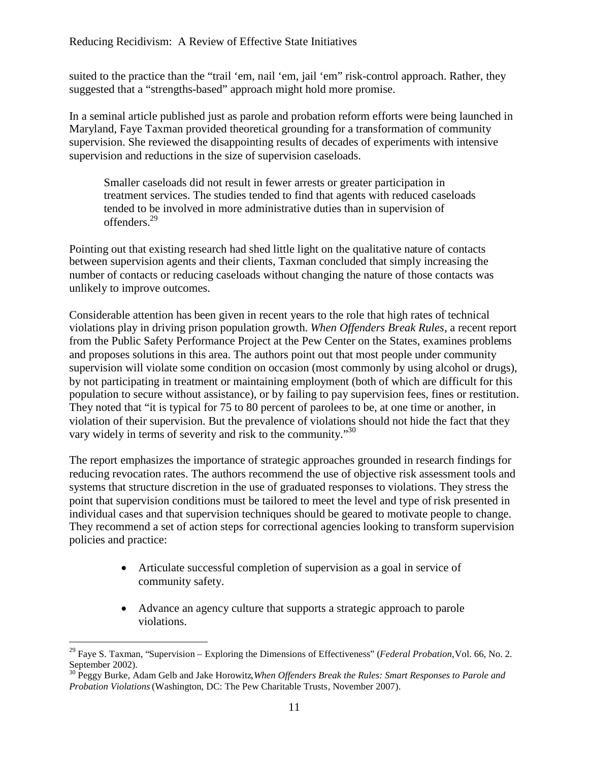suited to the practice than the "trail 'em, nail 'em, jail 'em" risk-control approach. Rather, they suggested that a "strengths-based" approach might hold more promise.

In a seminal article published just as parole and probation reform efforts were being launched in Maryland, Faye Taxman provided theoretical grounding for a transformation of community supervision. She reviewed the disappointing results of decades of experiments with intensive supervision and reductions in the size of supervision caseloads.

Smaller caseloads did not result in fewer arrests or greater participation in treatment services. The studies tended to find that agents with reduced caseloads tended to be involved in more administrative duties than in supervision of offenders.<sup>29</sup>

Pointing out that existing research had shed little light on the qualitative nature of contacts between supervision agents and their clients, Taxman concluded that simply increasing the number of contacts or reducing caseloads without changing the nature of those contacts was unlikely to improve outcomes.

Considerable attention has been given in recent years to the role that high rates of technical violations play in driving prison population growth. *When Offenders Break Rules*, a recent report from the Public Safety Performance Project at the Pew Center on the States, examines problems and proposes solutions in this area. The authors point out that most people under community supervision will violate some condition on occasion (most commonly by using alcohol or drugs), by not participating in treatment or maintaining employment (both of which are difficult for this population to secure without assistance), or by failing to pay supervision fees, fines or restitution. They noted that "it is typical for 75 to 80 percent of parolees to be, at one time or another, in violation of their supervision. But the prevalence of violations should not hide the fact that they vary widely in terms of severity and risk to the community."<sup>30</sup>

The report emphasizes the importance of strategic approaches grounded in research findings for reducing revocation rates. The authors recommend the use of objective risk assessment tools and systems that structure discretion in the use of graduated responses to violations. They stress the point that supervision conditions must be tailored to meet the level and type of risk presented in individual cases and that supervision techniques should be geared to motivate people to change. They recommend a set of action steps for correctional agencies looking to transform supervision policies and practice:

- Articulate successful completion of supervision as a goal in service of community safety.
- Advance an agency culture that supports a strategic approach to parole violations.

<sup>29</sup> Faye S. Taxman, "Supervision – Exploring the Dimensions of Effectiveness" (*Federal Probation*,Vol. 66, No. 2. September 2002).

<sup>30</sup> Peggy Burke, Adam Gelb and Jake Horowitz,*When Offenders Break the Rules: Smart Responses to Parole and Probation Violations*(Washington, DC: The Pew Charitable Trusts, November 2007).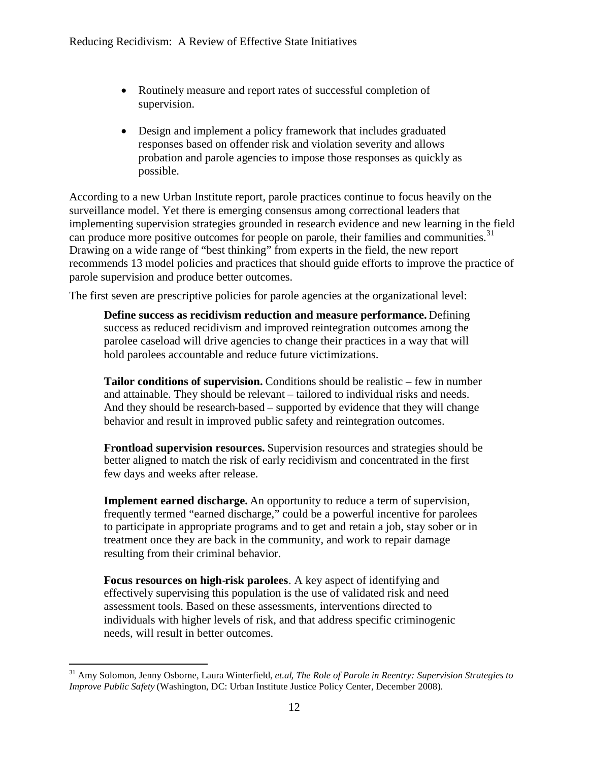- Routinely measure and report rates of successful completion of supervision.
- Design and implement a policy framework that includes graduated responses based on offender risk and violation severity and allows probation and parole agencies to impose those responses as quickly as possible.

According to a new Urban Institute report, parole practices continue to focus heavily on the surveillance model. Yet there is emerging consensus among correctional leaders that implementing supervision strategies grounded in research evidence and new learning in the field can produce more positive outcomes for people on parole, their families and communities.<sup>31</sup> Drawing on a wide range of "best thinking" from experts in the field, the new report recommends 13 model policies and practices that should guide efforts to improve the practice of parole supervision and produce better outcomes.

The first seven are prescriptive policies for parole agencies at the organizational level:

**Define success as recidivism reduction and measure performance.** Defining success as reduced recidivism and improved reintegration outcomes among the parolee caseload will drive agencies to change their practices in a way that will hold parolees accountable and reduce future victimizations.

**Tailor conditions of supervision.** Conditions should be realistic – few in number and attainable. They should be relevant – tailored to individual risks and needs. And they should be research-based – supported by evidence that they will change behavior and result in improved public safety and reintegration outcomes.

**Frontload supervision resources.** Supervision resources and strategies should be better aligned to match the risk of early recidivism and concentrated in the first few days and weeks after release.

**Implement earned discharge.** An opportunity to reduce a term of supervision, frequently termed "earned discharge," could be a powerful incentive for parolees to participate in appropriate programs and to get and retain a job, stay sober or in treatment once they are back in the community, and work to repair damage resulting from their criminal behavior.

**Focus resources on high-risk parolees**. A key aspect of identifying and effectively supervising this population is the use of validated risk and need assessment tools. Based on these assessments, interventions directed to individuals with higher levels of risk, and that address specific criminogenic needs, will result in better outcomes.

<sup>31</sup> Amy Solomon, Jenny Osborne, Laura Winterfield, *et.al, The Role of Parole in Reentry: Supervision Strategies to Improve Public Safety* (Washington, DC: Urban Institute Justice Policy Center, December 2008).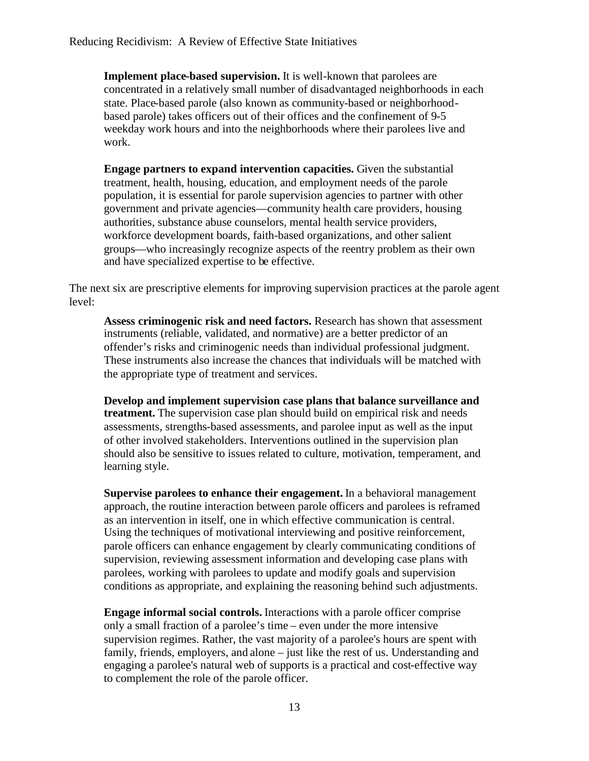**Implement place-based supervision.** It is well-known that parolees are concentrated in a relatively small number of disadvantaged neighborhoods in each state. Place-based parole (also known as community-based or neighborhoodbased parole) takes officers out of their offices and the confinement of 9-5 weekday work hours and into the neighborhoods where their parolees live and work.

**Engage partners to expand intervention capacities.** Given the substantial treatment, health, housing, education, and employment needs of the parole population, it is essential for parole supervision agencies to partner with other government and private agencies—community health care providers, housing authorities, substance abuse counselors, mental health service providers, workforce development boards, faith-based organizations, and other salient groups—who increasingly recognize aspects of the reentry problem as their own and have specialized expertise to be effective.

The next six are prescriptive elements for improving supervision practices at the parole agent level:

**Assess criminogenic risk and need factors.** Research has shown that assessment instruments (reliable, validated, and normative) are a better predictor of an offender's risks and criminogenic needs than individual professional judgment. These instruments also increase the chances that individuals will be matched with the appropriate type of treatment and services.

**Develop and implement supervision case plans that balance surveillance and treatment.** The supervision case plan should build on empirical risk and needs assessments, strengths-based assessments, and parolee input as well as the input of other involved stakeholders. Interventions outlined in the supervision plan should also be sensitive to issues related to culture, motivation, temperament, and learning style.

**Supervise parolees to enhance their engagement.** In a behavioral management approach, the routine interaction between parole officers and parolees is reframed as an intervention in itself, one in which effective communication is central. Using the techniques of motivational interviewing and positive reinforcement, parole officers can enhance engagement by clearly communicating conditions of supervision, reviewing assessment information and developing case plans with parolees, working with parolees to update and modify goals and supervision conditions as appropriate, and explaining the reasoning behind such adjustments.

**Engage informal social controls.** Interactions with a parole officer comprise only a small fraction of a parolee's time – even under the more intensive supervision regimes. Rather, the vast majority of a parolee's hours are spent with family, friends, employers, and alone – just like the rest of us. Understanding and engaging a parolee's natural web of supports is a practical and cost-effective way to complement the role of the parole officer.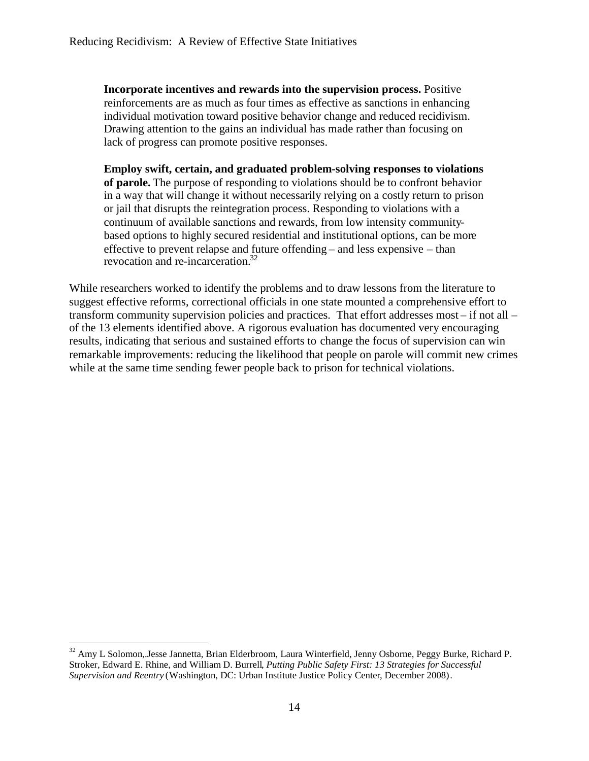**Incorporate incentives and rewards into the supervision process.** Positive reinforcements are as much as four times as effective as sanctions in enhancing individual motivation toward positive behavior change and reduced recidivism. Drawing attention to the gains an individual has made rather than focusing on lack of progress can promote positive responses.

**Employ swift, certain, and graduated problem-solving responses to violations of parole.** The purpose of responding to violations should be to confront behavior in a way that will change it without necessarily relying on a costly return to prison or jail that disrupts the reintegration process. Responding to violations with a continuum of available sanctions and rewards, from low intensity communitybased options to highly secured residential and institutional options, can be more effective to prevent relapse and future offending – and less expensive – than revocation and re-incarceration.<sup>32</sup>

While researchers worked to identify the problems and to draw lessons from the literature to suggest effective reforms, correctional officials in one state mounted a comprehensive effort to transform community supervision policies and practices. That effort addresses most – if not all – of the 13 elements identified above. A rigorous evaluation has documented very encouraging results, indicating that serious and sustained efforts to change the focus of supervision can win remarkable improvements: reducing the likelihood that people on parole will commit new crimes while at the same time sending fewer people back to prison for technical violations.

<sup>&</sup>lt;sup>32</sup> Amy L Solomon, Jesse Jannetta, Brian Elderbroom, Laura Winterfield, Jenny Osborne, Peggy Burke, Richard P. Stroker, Edward E. Rhine, and William D. Burrell, *Putting Public Safety First: 13 Strategies for Successful Supervision and Reentry* (Washington, DC: Urban Institute Justice Policy Center, December 2008).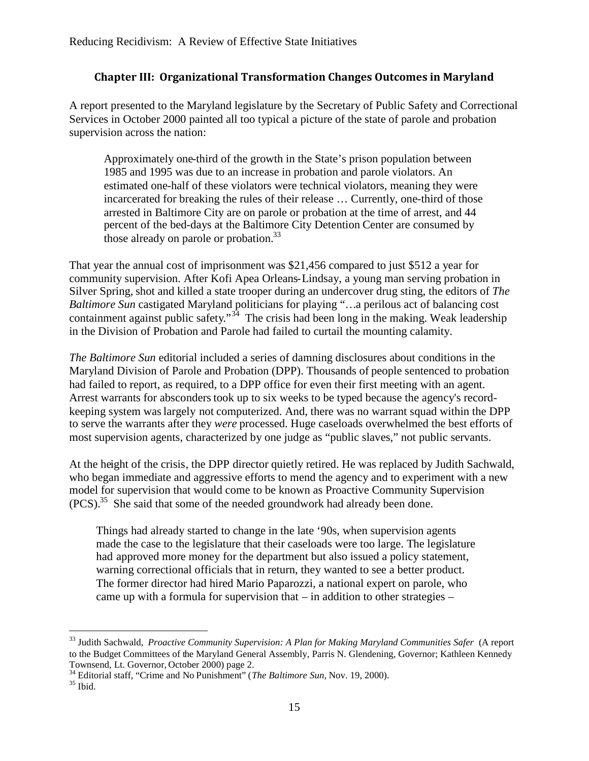## **Chapter III: Organizational Transformation Changes Outcomes in Maryland**

A report presented to the Maryland legislature by the Secretary of Public Safety and Correctional Services in October 2000 painted all too typical a picture of the state of parole and probation supervision across the nation:

Approximately one-third of the growth in the State's prison population between 1985 and 1995 was due to an increase in probation and parole violators. An estimated one-half of these violators were technical violators, meaning they were incarcerated for breaking the rules of their release … Currently, one-third of those arrested in Baltimore City are on parole or probation at the time of arrest, and 44 percent of the bed-days at the Baltimore City Detention Center are consumed by those already on parole or probation.<sup>33</sup>

That year the annual cost of imprisonment was \$21,456 compared to just \$512 a year for community supervision. After Kofi Apea Orleans-Lindsay, a young man serving probation in Silver Spring, shot and killed a state trooper during an undercover drug sting, the editors of *The Baltimore Sun* castigated Maryland politicians for playing "…a perilous act of balancing cost containment against public safety."<sup>34</sup> The crisis had been long in the making. Weak leadership in the Division of Probation and Parole had failed to curtail the mounting calamity.

*The Baltimore Sun* editorial included a series of damning disclosures about conditions in the Maryland Division of Parole and Probation (DPP). Thousands of people sentenced to probation had failed to report, as required, to a DPP office for even their first meeting with an agent. Arrest warrants for absconders took up to six weeks to be typed because the agency's recordkeeping system waslargely not computerized. And, there was no warrant squad within the DPP to serve the warrants after they *were* processed. Huge caseloads overwhelmed the best efforts of most supervision agents, characterized by one judge as "public slaves," not public servants.

At the height of the crisis, the DPP director quietly retired. He was replaced by Judith Sachwald, who began immediate and aggressive efforts to mend the agency and to experiment with a new model for supervision that would come to be known as Proactive Community Supervision (PCS).<sup>35</sup> She said that some of the needed groundwork had already been done.

Things had already started to change in the late '90s, when supervision agents made the case to the legislature that their caseloads were too large. The legislature had approved more money for the department but also issued a policy statement, warning correctional officials that in return, they wanted to see a better product. The former director had hired Mario Paparozzi, a national expert on parole, who came up with a formula for supervision that – in addition to other strategies –

<sup>33</sup> Judith Sachwald, *Proactive Community Supervision: A Plan for Making Maryland Communities Safer* (A report to the Budget Committees of the Maryland General Assembly, Parris N. Glendening, Governor; Kathleen Kennedy Townsend, Lt. Governor, October 2000) page 2.

<sup>34</sup> Editorial staff, "Crime and No Punishment" (*The Baltimore Sun,* Nov. 19, 2000).

 $35$  Ibid.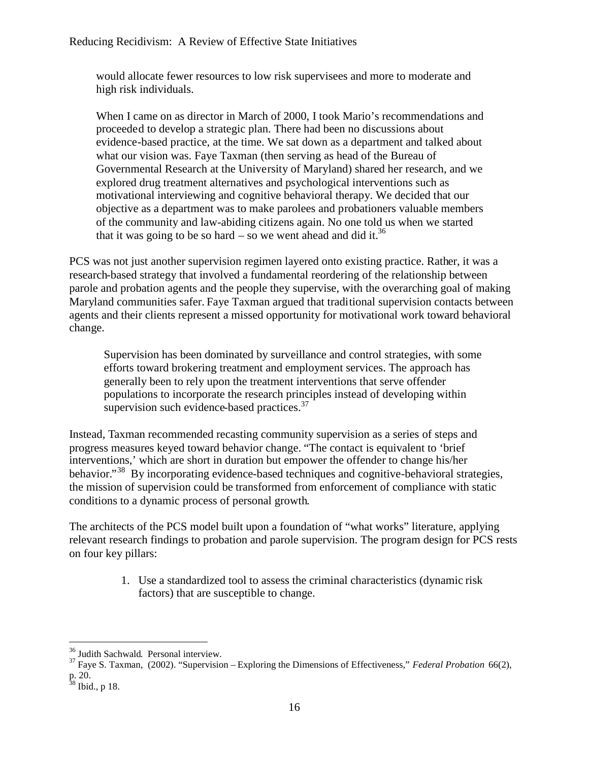would allocate fewer resources to low risk supervisees and more to moderate and high risk individuals.

When I came on as director in March of 2000, I took Mario's recommendations and proceeded to develop a strategic plan. There had been no discussions about evidence-based practice, at the time. We sat down as a department and talked about what our vision was. Faye Taxman (then serving as head of the Bureau of Governmental Research at the University of Maryland) shared her research, and we explored drug treatment alternatives and psychological interventions such as motivational interviewing and cognitive behavioral therapy. We decided that our objective as a department was to make parolees and probationers valuable members of the community and law-abiding citizens again. No one told us when we started that it was going to be so hard – so we went ahead and did it.<sup>36</sup>

PCS was not just another supervision regimen layered onto existing practice. Rather, it was a research-based strategy that involved a fundamental reordering of the relationship between parole and probation agents and the people they supervise, with the overarching goal of making Maryland communities safer. Faye Taxman argued that traditional supervision contacts between agents and their clients represent a missed opportunity for motivational work toward behavioral change.

Supervision has been dominated by surveillance and control strategies, with some efforts toward brokering treatment and employment services. The approach has generally been to rely upon the treatment interventions that serve offender populations to incorporate the research principles instead of developing within supervision such evidence-based practices.<sup>37</sup>

Instead, Taxman recommended recasting community supervision as a series of steps and progress measures keyed toward behavior change. "The contact is equivalent to 'brief interventions,' which are short in duration but empower the offender to change his/her behavior."<sup>38</sup> By incorporating evidence-based techniques and cognitive-behavioral strategies, the mission of supervision could be transformed from enforcement of compliance with static conditions to a dynamic process of personal growth.

The architects of the PCS model built upon a foundation of "what works" literature, applying relevant research findings to probation and parole supervision. The program design for PCS rests on four key pillars:

> 1. Use a standardized tool to assess the criminal characteristics (dynamic risk factors) that are susceptible to change.

 $36$  Judith Sachwald. Personal interview.

<sup>37</sup> Faye S. Taxman, (2002). "Supervision – Exploring the Dimensions of Effectiveness," *Federal Probation* 66(2), p. 20.

 $38$  Ibid., p 18.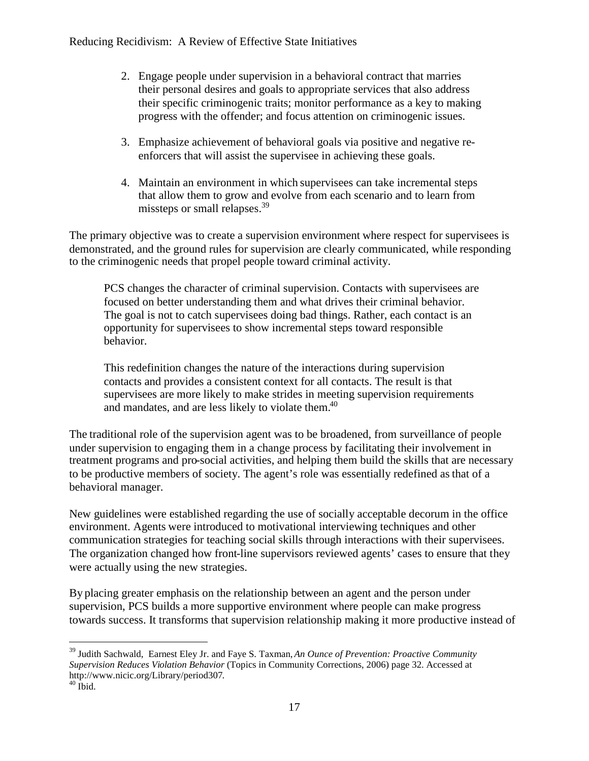- 2. Engage people under supervision in a behavioral contract that marries their personal desires and goals to appropriate services that also address their specific criminogenic traits; monitor performance as a key to making progress with the offender; and focus attention on criminogenic issues.
- 3. Emphasize achievement of behavioral goals via positive and negative reenforcers that will assist the supervisee in achieving these goals.
- 4. Maintain an environment in which supervisees can take incremental steps that allow them to grow and evolve from each scenario and to learn from missteps or small relapses.<sup>39</sup>

The primary objective was to create a supervision environment where respect for supervisees is demonstrated, and the ground rules for supervision are clearly communicated, while responding to the criminogenic needs that propel people toward criminal activity.

PCS changes the character of criminal supervision. Contacts with supervisees are focused on better understanding them and what drives their criminal behavior. The goal is not to catch supervisees doing bad things. Rather, each contact is an opportunity for supervisees to show incremental steps toward responsible behavior.

This redefinition changes the nature of the interactions during supervision contacts and provides a consistent context for all contacts. The result is that supervisees are more likely to make strides in meeting supervision requirements and mandates, and are less likely to violate them.<sup>40</sup>

The traditional role of the supervision agent was to be broadened, from surveillance of people under supervision to engaging them in a change process by facilitating their involvement in treatment programs and pro-social activities, and helping them build the skills that are necessary to be productive members of society. The agent's role was essentially redefined as that of a behavioral manager.

New guidelines were established regarding the use of socially acceptable decorum in the office environment. Agents were introduced to motivational interviewing techniques and other communication strategies for teaching social skills through interactions with their supervisees. The organization changed how front-line supervisors reviewed agents' cases to ensure that they were actually using the new strategies.

By placing greater emphasis on the relationship between an agent and the person under supervision, PCS builds a more supportive environment where people can make progress towards success. It transforms that supervision relationship making it more productive instead of

<sup>39</sup> Judith Sachwald, Earnest Eley Jr. and Faye S. Taxman, *An Ounce of Prevention: Proactive Community Supervision Reduces Violation Behavior* (Topics in Community Corrections, 2006) page 32. Accessed at http://www.nicic.org/Library/period307.

 $40$  Ibid.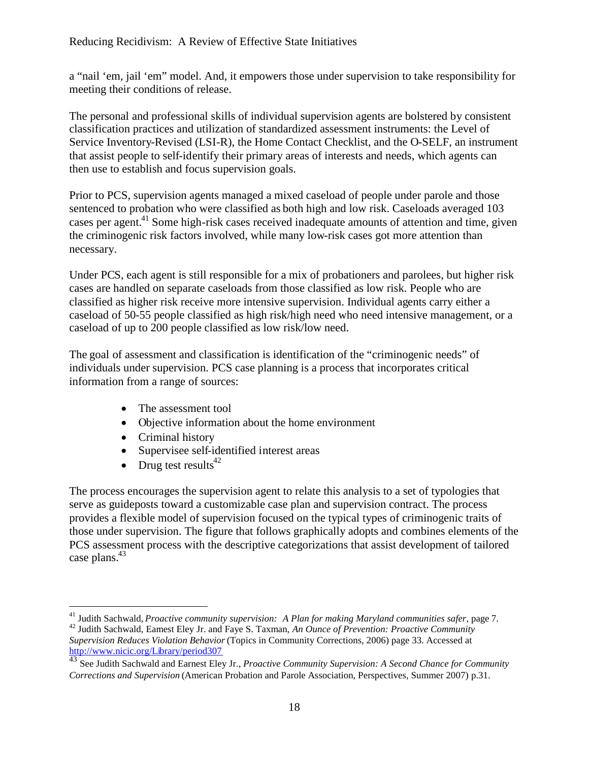a "nail 'em, jail 'em" model. And, it empowers those under supervision to take responsibility for meeting their conditions of release.

The personal and professional skills of individual supervision agents are bolstered by consistent classification practices and utilization of standardized assessment instruments: the Level of Service Inventory-Revised (LSI-R), the Home Contact Checklist, and the O-SELF, an instrument that assist people to self-identify their primary areas of interests and needs, which agents can then use to establish and focus supervision goals.

Prior to PCS, supervision agents managed a mixed caseload of people under parole and those sentenced to probation who were classified as both high and low risk. Caseloads averaged 103 cases per agent.<sup>41</sup> Some high-risk cases received inadequate amounts of attention and time, given the criminogenic risk factors involved, while many low-risk cases got more attention than necessary.

Under PCS, each agent is still responsible for a mix of probationers and parolees, but higher risk cases are handled on separate caseloads from those classified as low risk. People who are classified as higher risk receive more intensive supervision. Individual agents carry either a caseload of 50-55 people classified as high risk/high need who need intensive management, or a caseload of up to 200 people classified as low risk/low need.

The goal of assessment and classification is identification of the "criminogenic needs" of individuals under supervision. PCS case planning is a process that incorporates critical information from a range of sources:

- The assessment tool
- Οbjective information about the home environment
- Criminal history
- Supervisee self-identified interest areas
- Drug test results $42$

The process encourages the supervision agent to relate this analysis to a set of typologies that serve as guideposts toward a customizable case plan and supervision contract. The process provides a flexible model of supervision focused on the typical types of criminogenic traits of those under supervision. The figure that follows graphically adopts and combines elements of the PCS assessment process with the descriptive categorizations that assist development of tailored case plans.<sup>43</sup>

<sup>41</sup> Judith Sachwald, *Proactive community supervision: A Plan for making Maryland communities safer*, page 7.

<sup>42</sup> Judith Sachwald, Earnest Eley Jr. and Faye S. Taxman, *An Ounce of Prevention: Proactive Community Supervision Reduces Violation Behavior* (Topics in Community Corrections, 2006) page 33. Accessed at http://www.nicic.org/Library/period307

<sup>43</sup> See Judith Sachwald and Earnest Eley Jr., *Proactive Community Supervision: A Second Chance for Community Corrections and Supervision* (American Probation and Parole Association, Perspectives, Summer 2007) p.31.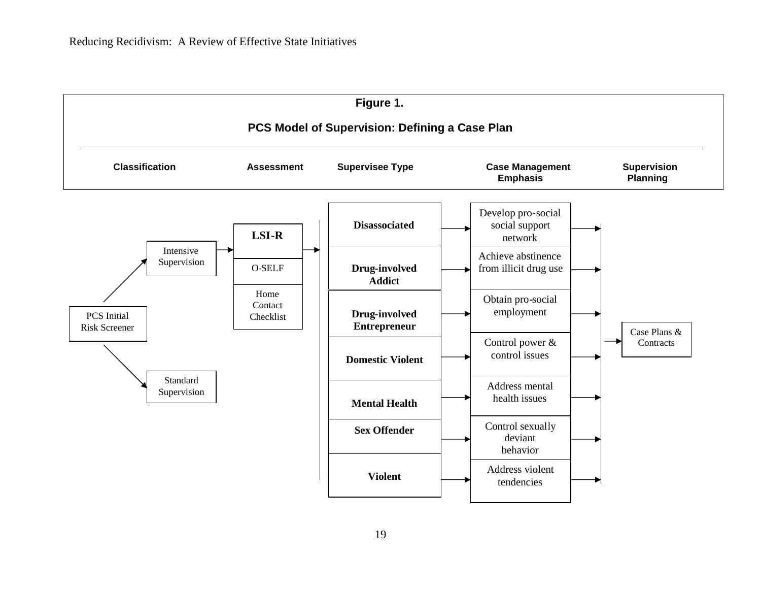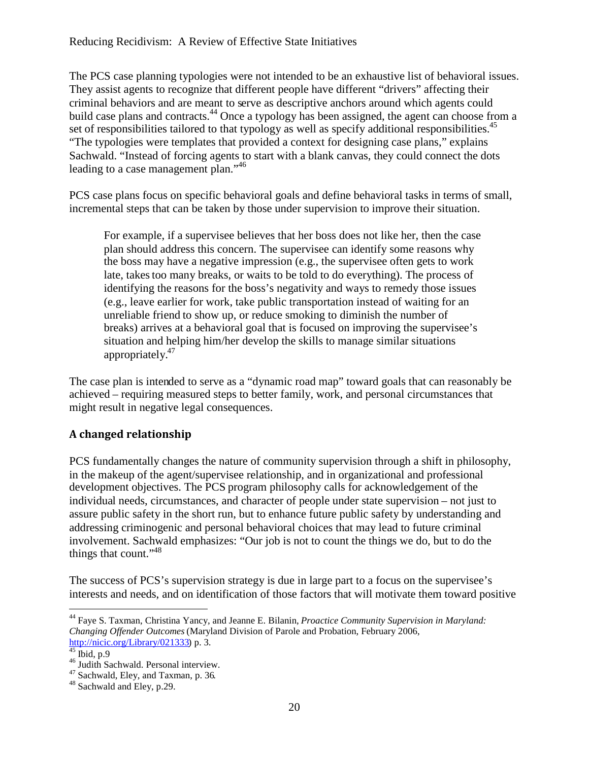The PCS case planning typologies were not intended to be an exhaustive list of behavioral issues. They assist agents to recognize that different people have different "drivers" affecting their criminal behaviors and are meant to serve as descriptive anchors around which agents could build case plans and contracts.<sup>44</sup> Once a typology has been assigned, the agent can choose from a set of responsibilities tailored to that typology as well as specify additional responsibilities.<sup>45</sup> "The typologies were templates that provided a context for designing case plans," explains Sachwald. "Instead of forcing agents to start with a blank canvas, they could connect the dots leading to a case management plan."<sup>46</sup>

PCS case plans focus on specific behavioral goals and define behavioral tasks in terms of small, incremental steps that can be taken by those under supervision to improve their situation.

For example, if a supervisee believes that her boss does not like her, then the case plan should address this concern. The supervisee can identify some reasons why the boss may have a negative impression (e.g., the supervisee often gets to work late, takes too many breaks, or waits to be told to do everything). The process of identifying the reasons for the boss's negativity and ways to remedy those issues (e.g., leave earlier for work, take public transportation instead of waiting for an unreliable friend to show up, or reduce smoking to diminish the number of breaks) arrives at a behavioral goal that is focused on improving the supervisee's situation and helping him/her develop the skills to manage similar situations appropriately.<sup>47</sup>

The case plan is intended to serve as a "dynamic road map" toward goals that can reasonably be achieved – requiring measured steps to better family, work, and personal circumstances that might result in negative legal consequences.

## **A changed relationship**

PCS fundamentally changes the nature of community supervision through a shift in philosophy, in the makeup of the agent/supervisee relationship, and in organizational and professional development objectives. The PCS program philosophy calls for acknowledgement of the individual needs, circumstances, and character of people under state supervision – not just to assure public safety in the short run, but to enhance future public safety by understanding and addressing criminogenic and personal behavioral choices that may lead to future criminal involvement. Sachwald emphasizes: "Our job is not to count the things we do, but to do the things that count."<sup>48</sup>

The success of PCS's supervision strategy is due in large part to a focus on the supervisee's interests and needs, and on identification of those factors that will motivate them toward positive

<sup>44</sup> Faye S. Taxman, Christina Yancy, and Jeanne E. Bilanin, *Proactice Community Supervision in Maryland: Changing Offender Outcomes* (Maryland Division of Parole and Probation, February 2006, http://nicic.org/Library/021333) p. 3.

 $^{45}$  Ibid, p.9

 $^{46}$  Judith Sachwald. Personal interview.

<sup>47</sup> Sachwald, Eley, and Taxman, p. 36.

 $48$  Sachwald and Eley, p. 29.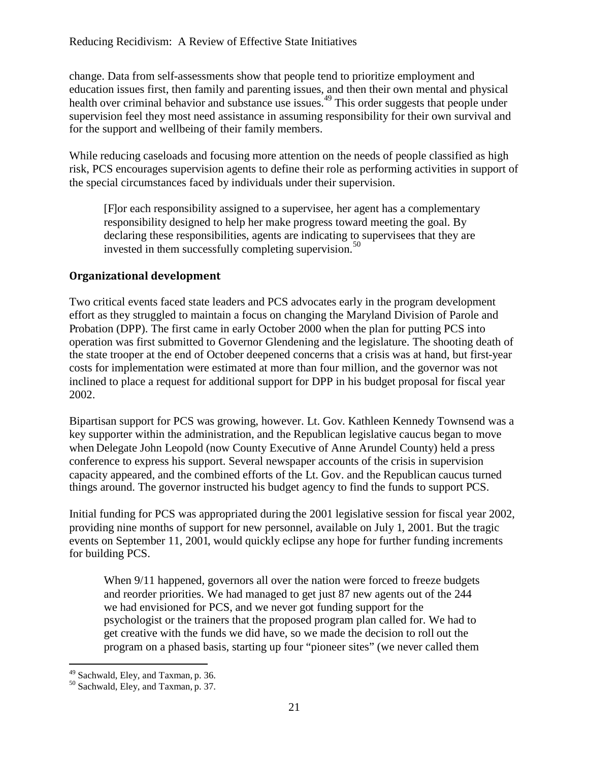change. Data from self-assessments show that people tend to prioritize employment and education issues first, then family and parenting issues, and then their own mental and physical health over criminal behavior and substance use issues.<sup>49</sup> This order suggests that people under supervision feel they most need assistance in assuming responsibility for their own survival and for the support and wellbeing of their family members.

While reducing caseloads and focusing more attention on the needs of people classified as high risk, PCS encourages supervision agents to define their role as performing activities in support of the special circumstances faced by individuals under their supervision.

[F]or each responsibility assigned to a supervisee, her agent has a complementary responsibility designed to help her make progress toward meeting the goal. By declaring these responsibilities, agents are indicating to supervisees that they are invested in them successfully completing supervision. $50$ 

### **Organizational development**

Two critical events faced state leaders and PCS advocates early in the program development effort as they struggled to maintain a focus on changing the Maryland Division of Parole and Probation (DPP). The first came in early October 2000 when the plan for putting PCS into operation was first submitted to Governor Glendening and the legislature. The shooting death of the state trooper at the end of October deepened concerns that a crisis was at hand, but first-year costs for implementation were estimated at more than four million, and the governor was not inclined to place a request for additional support for DPP in his budget proposal for fiscal year 2002.

Bipartisan support for PCS was growing, however. Lt. Gov. Kathleen Kennedy Townsend was a key supporter within the administration, and the Republican legislative caucus began to move when Delegate John Leopold (now County Executive of Anne Arundel County) held a press conference to express his support. Several newspaper accounts of the crisis in supervision capacity appeared, and the combined efforts of the Lt. Gov. and the Republican caucus turned things around. The governor instructed his budget agency to find the funds to support PCS.

Initial funding for PCS was appropriated during the 2001 legislative session for fiscal year 2002, providing nine months of support for new personnel, available on July 1, 2001. But the tragic events on September 11, 2001, would quickly eclipse any hope for further funding increments for building PCS.

When 9/11 happened, governors all over the nation were forced to freeze budgets and reorder priorities. We had managed to get just 87 new agents out of the 244 we had envisioned for PCS, and we never got funding support for the psychologist or the trainers that the proposed program plan called for. We had to get creative with the funds we did have, so we made the decision to roll out the program on a phased basis, starting up four "pioneer sites" (we never called them

<sup>49</sup> Sachwald, Eley, and Taxman, p. 36.

<sup>&</sup>lt;sup>50</sup> Sachwald, Eley, and Taxman, p. 37.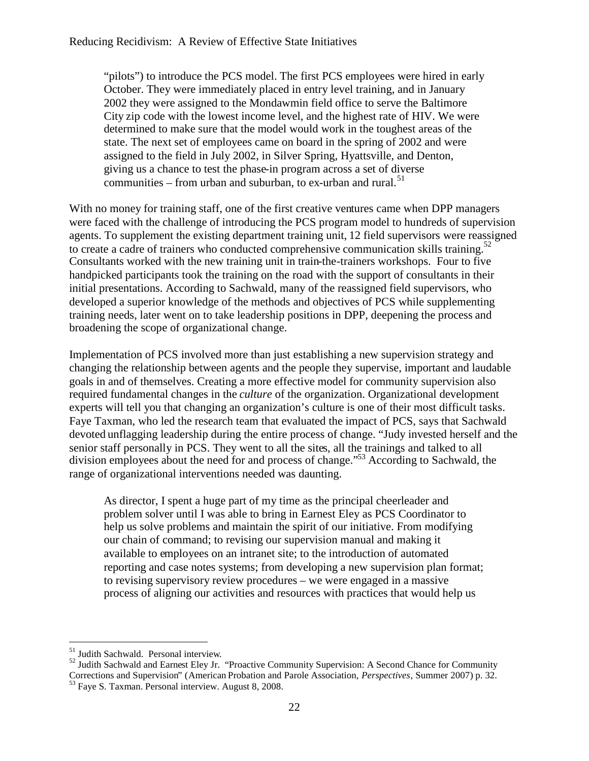"pilots") to introduce the PCS model. The first PCS employees were hired in early October. They were immediately placed in entry level training, and in January 2002 they were assigned to the Mondawmin field office to serve the Baltimore City zip code with the lowest income level, and the highest rate of HIV. We were determined to make sure that the model would work in the toughest areas of the state. The next set of employees came on board in the spring of 2002 and were assigned to the field in July 2002, in Silver Spring, Hyattsville, and Denton, giving us a chance to test the phase-in program across a set of diverse communities – from urban and suburban, to ex-urban and rural. $51$ 

With no money for training staff, one of the first creative ventures came when DPP managers were faced with the challenge of introducing the PCS program model to hundreds of supervision agents. To supplement the existing department training unit, 12 field supervisors were reassigned to create a cadre of trainers who conducted comprehensive communication skills training.<sup>52</sup> Consultants worked with the new training unit in train-the-trainers workshops. Four to five handpicked participants took the training on the road with the support of consultants in their initial presentations. According to Sachwald, many of the reassigned field supervisors, who developed a superior knowledge of the methods and objectives of PCS while supplementing training needs, later went on to take leadership positions in DPP, deepening the process and broadening the scope of organizational change.

Implementation of PCS involved more than just establishing a new supervision strategy and changing the relationship between agents and the people they supervise, important and laudable goals in and of themselves. Creating a more effective model for community supervision also required fundamental changes in the *culture* of the organization. Organizational development experts will tell you that changing an organization's culture is one of their most difficult tasks. Faye Taxman, who led the research team that evaluated the impact of PCS, says that Sachwald devoted unflagging leadership during the entire process of change. "Judy invested herself and the senior staff personally in PCS. They went to all the sites, all the trainings and talked to all division employees about the need for and process of change."<sup>53</sup> According to Sachwald, the range of organizational interventions needed was daunting.

As director, I spent a huge part of my time as the principal cheerleader and problem solver until I was able to bring in Earnest Eley as PCS Coordinator to help us solve problems and maintain the spirit of our initiative. From modifying our chain of command; to revising our supervision manual and making it available to employees on an intranet site; to the introduction of automated reporting and case notes systems; from developing a new supervision plan format; to revising supervisory review procedures – we were engaged in a massive process of aligning our activities and resources with practices that would help us

<sup>&</sup>lt;sup>51</sup> Judith Sachwald. Personal interview.

 $52$  Judith Sachwald and Earnest Eley Jr. "Proactive Community Supervision: A Second Chance for Community Corrections and Supervision" (American Probation and Parole Association, *Perspectives*, Summer 2007) p. 32. <sup>53</sup> Faye S. Taxman. Personal interview. August 8, 2008.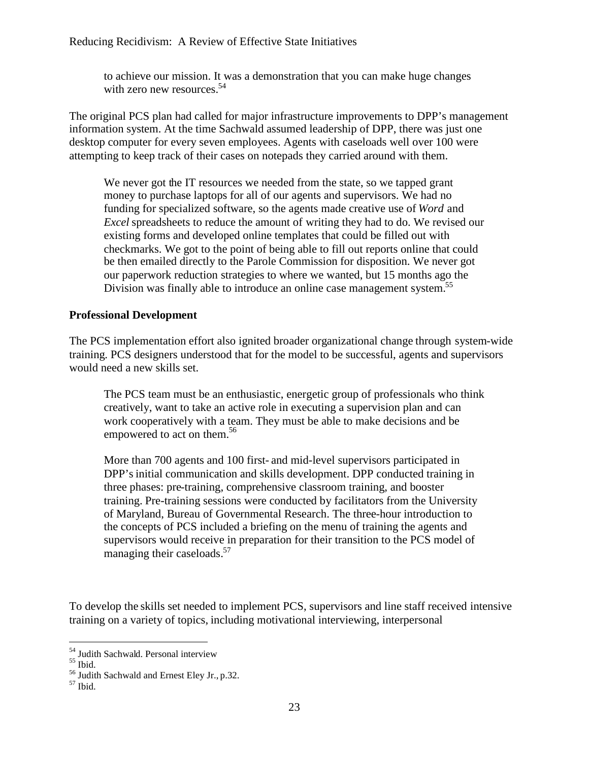to achieve our mission. It was a demonstration that you can make huge changes with zero new resources.  $54$ 

The original PCS plan had called for major infrastructure improvements to DPP's management information system. At the time Sachwald assumed leadership of DPP, there was just one desktop computer for every seven employees. Agents with caseloads well over 100 were attempting to keep track of their cases on notepads they carried around with them.

We never got the IT resources we needed from the state, so we tapped grant money to purchase laptops for all of our agents and supervisors. We had no funding for specialized software, so the agents made creative use of *Word* and *Excel* spreadsheets to reduce the amount of writing they had to do. We revised our existing forms and developed online templates that could be filled out with checkmarks. We got to the point of being able to fill out reports online that could be then emailed directly to the Parole Commission for disposition. We never got our paperwork reduction strategies to where we wanted, but 15 months ago the Division was finally able to introduce an online case management system.<sup>55</sup>

#### **Professional Development**

The PCS implementation effort also ignited broader organizational change through system-wide training. PCS designers understood that for the model to be successful, agents and supervisors would need a new skills set.

The PCS team must be an enthusiastic, energetic group of professionals who think creatively, want to take an active role in executing a supervision plan and can work cooperatively with a team. They must be able to make decisions and be empowered to act on them.<sup>56</sup>

More than 700 agents and 100 first- and mid-level supervisors participated in DPP's initial communication and skills development. DPP conducted training in three phases: pre-training, comprehensive classroom training, and booster training. Pre-training sessions were conducted by facilitators from the University of Maryland, Bureau of Governmental Research. The three-hour introduction to the concepts of PCS included a briefing on the menu of training the agents and supervisors would receive in preparation for their transition to the PCS model of managing their caseloads.<sup>57</sup>

To develop the skills set needed to implement PCS, supervisors and line staff received intensive training on a variety of topics, including motivational interviewing, interpersonal

 $\frac{54}{1}$  Judith Sachwald. Personal interview

<sup>55</sup> Ibid.

<sup>56</sup> Judith Sachwald and Ernest Eley Jr., p.32.

 $57$  Ibid.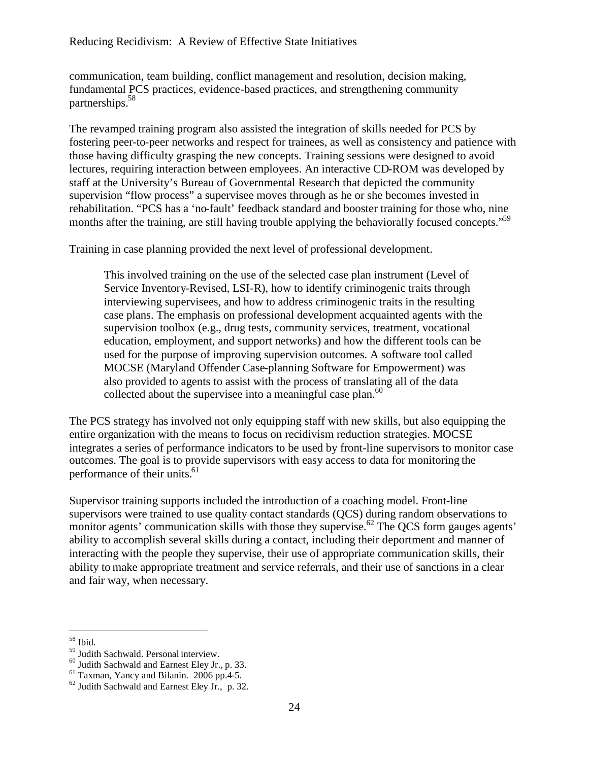communication, team building, conflict management and resolution, decision making, fundamental PCS practices, evidence-based practices, and strengthening community partnerships.<sup>58</sup>

The revamped training program also assisted the integration of skills needed for PCS by fostering peer-to-peer networks and respect for trainees, as well as consistency and patience with those having difficulty grasping the new concepts. Training sessions were designed to avoid lectures, requiring interaction between employees. An interactive CD-ROM was developed by staff at the University's Bureau of Governmental Research that depicted the community supervision "flow process" a supervisee moves through as he or she becomes invested in rehabilitation. "PCS has a 'no-fault' feedback standard and booster training for those who, nine months after the training, are still having trouble applying the behaviorally focused concepts."<sup>59</sup>

Training in case planning provided the next level of professional development.

This involved training on the use of the selected case plan instrument (Level of Service Inventory-Revised, LSI-R), how to identify criminogenic traits through interviewing supervisees, and how to address criminogenic traits in the resulting case plans. The emphasis on professional development acquainted agents with the supervision toolbox (e.g., drug tests, community services, treatment, vocational education, employment, and support networks) and how the different tools can be used for the purpose of improving supervision outcomes. A software tool called MOCSE (Maryland Offender Case-planning Software for Empowerment) was also provided to agents to assist with the process of translating all of the data collected about the supervisee into a meaningful case plan. $60$ 

The PCS strategy has involved not only equipping staff with new skills, but also equipping the entire organization with the means to focus on recidivism reduction strategies. MOCSE integrates a series of performance indicators to be used by front-line supervisors to monitor case outcomes. The goal is to provide supervisors with easy access to data for monitoring the performance of their units.<sup>61</sup>

Supervisor training supports included the introduction of a coaching model. Front-line supervisors were trained to use quality contact standards (QCS) during random observations to monitor agents' communication skills with those they supervise.<sup>62</sup> The QCS form gauges agents' ability to accomplish several skills during a contact, including their deportment and manner of interacting with the people they supervise, their use of appropriate communication skills, their ability to make appropriate treatment and service referrals, and their use of sanctions in a clear and fair way, when necessary.

<sup>58</sup> Ibid.

<sup>&</sup>lt;sup>59</sup> Judith Sachwald. Personal interview.

 $60$  Judith Sachwald and Earnest Eley Jr., p. 33.

 $61$  Taxman, Yancy and Bilanin. 2006 pp.4-5.

 $62$  Judith Sachwald and Earnest Eley Jr., p. 32.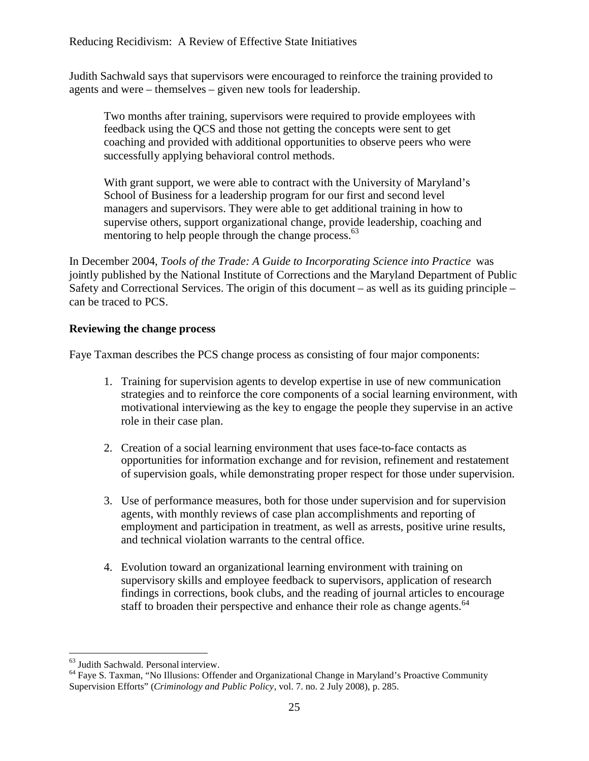Judith Sachwald says that supervisors were encouraged to reinforce the training provided to agents and were – themselves – given new tools for leadership.

Two months after training, supervisors were required to provide employees with feedback using the QCS and those not getting the concepts were sent to get coaching and provided with additional opportunities to observe peers who were successfully applying behavioral control methods.

With grant support, we were able to contract with the University of Maryland's School of Business for a leadership program for our first and second level managers and supervisors. They were able to get additional training in how to supervise others, support organizational change, provide leadership, coaching and mentoring to help people through the change process. $63$ 

In December 2004, *Tools of the Trade: A Guide to Incorporating Science into Practice* was jointly published by the National Institute of Corrections and the Maryland Department of Public Safety and Correctional Services. The origin of this document – as well as its guiding principle – can be traced to PCS.

#### **Reviewing the change process**

Faye Taxman describes the PCS change process as consisting of four major components:

- 1. Training for supervision agents to develop expertise in use of new communication strategies and to reinforce the core components of a social learning environment, with motivational interviewing as the key to engage the people they supervise in an active role in their case plan.
- 2. Creation of a social learning environment that uses face-to-face contacts as opportunities for information exchange and for revision, refinement and restatement of supervision goals, while demonstrating proper respect for those under supervision.
- 3. Use of performance measures, both for those under supervision and for supervision agents, with monthly reviews of case plan accomplishments and reporting of employment and participation in treatment, as well as arrests, positive urine results, and technical violation warrants to the central office.
- 4. Evolution toward an organizational learning environment with training on supervisory skills and employee feedback to supervisors, application of research findings in corrections, book clubs, and the reading of journal articles to encourage staff to broaden their perspective and enhance their role as change agents.<sup>64</sup>

<sup>&</sup>lt;sup>63</sup> Judith Sachwald. Personal interview.

<sup>&</sup>lt;sup>64</sup> Faye S. Taxman, "No Illusions: Offender and Organizational Change in Maryland's Proactive Community Supervision Efforts" (*Criminology and Public Policy*, vol. 7. no. 2 July 2008), p. 285.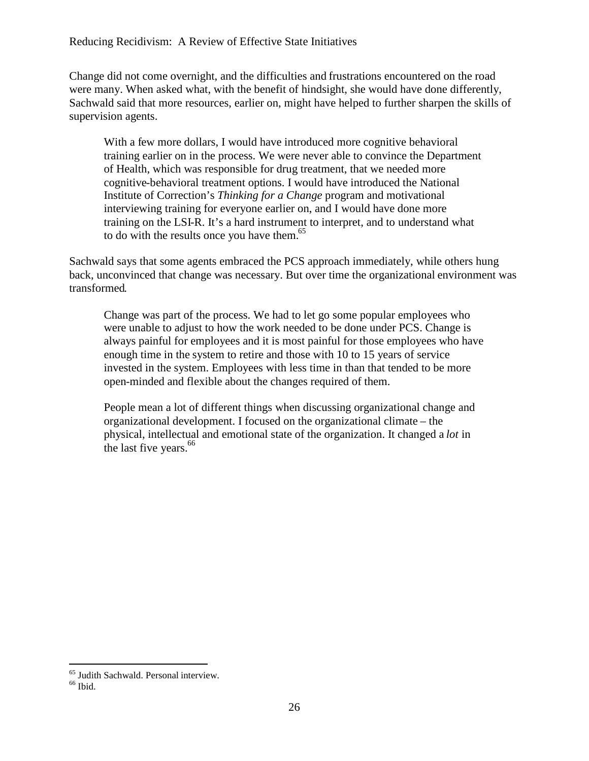Change did not come overnight, and the difficulties and frustrations encountered on the road were many. When asked what, with the benefit of hindsight, she would have done differently, Sachwald said that more resources, earlier on, might have helped to further sharpen the skills of supervision agents.

With a few more dollars, I would have introduced more cognitive behavioral training earlier on in the process. We were never able to convince the Department of Health, which was responsible for drug treatment, that we needed more cognitive-behavioral treatment options. I would have introduced the National Institute of Correction's *Thinking for a Change* program and motivational interviewing training for everyone earlier on, and I would have done more training on the LSI-R. It's a hard instrument to interpret, and to understand what to do with the results once you have them. $65$ 

Sachwald says that some agents embraced the PCS approach immediately, while others hung back, unconvinced that change was necessary. But over time the organizational environment was transformed.

Change was part of the process. We had to let go some popular employees who were unable to adjust to how the work needed to be done under PCS. Change is always painful for employees and it is most painful for those employees who have enough time in the system to retire and those with 10 to 15 years of service invested in the system. Employees with less time in than that tended to be more open-minded and flexible about the changes required of them.

People mean a lot of different things when discussing organizational change and organizational development. I focused on the organizational climate – the physical, intellectual and emotional state of the organization. It changed a *lot* in the last five years. $66$ 

<sup>65</sup> Judith Sachwald. Personal interview.

 $66$  Ibid.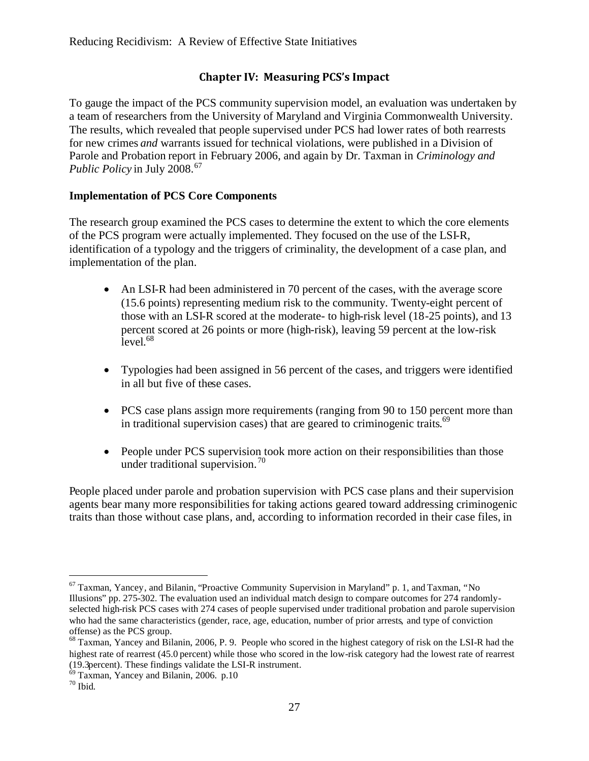## **Chapter IV: Measuring PCS's Impact**

To gauge the impact of the PCS community supervision model, an evaluation was undertaken by a team of researchers from the University of Maryland and Virginia Commonwealth University. The results, which revealed that people supervised under PCS had lower rates of both rearrests for new crimes *and* warrants issued for technical violations, were published in a Division of Parole and Probation report in February 2006, and again by Dr. Taxman in *Criminology and Public Policy* in July 2008.<sup>67</sup>

#### **Implementation of PCS Core Components**

The research group examined the PCS cases to determine the extent to which the core elements of the PCS program were actually implemented. They focused on the use of the LSI-R, identification of a typology and the triggers of criminality, the development of a case plan, and implementation of the plan.

- An LSI-R had been administered in 70 percent of the cases, with the average score (15.6 points) representing medium risk to the community. Twenty-eight percent of those with an LSI-R scored at the moderate- to high-risk level (18-25 points), and 13 percent scored at 26 points or more (high-risk), leaving 59 percent at the low-risk level. 68
- Typologies had been assigned in 56 percent of the cases, and triggers were identified in all but five of these cases.
- PCS case plans assign more requirements (ranging from 90 to 150 percent more than in traditional supervision cases) that are geared to criminogenic traits.<sup>69</sup>
- People under PCS supervision took more action on their responsibilities than those under traditional supervision.<sup>70</sup>

People placed under parole and probation supervision with PCS case plans and their supervision agents bear many more responsibilities for taking actions geared toward addressing criminogenic traits than those without case plans, and, according to information recorded in their case files, in

 $67$  Taxman, Yancey, and Bilanin, "Proactive Community Supervision in Maryland" p. 1, and Taxman, "No Illusions" pp. 275-302. The evaluation used an individual match design to compare outcomes for 274 randomlyselected high-risk PCS cases with 274 cases of people supervised under traditional probation and parole supervision who had the same characteristics (gender, race, age, education, number of prior arrests, and type of conviction offense) as the PCS group.

<sup>&</sup>lt;sup>68</sup> Taxman, Yancey and Bilanin, 2006, P. 9. People who scored in the highest category of risk on the LSI-R had the highest rate of rearrest (45.0 percent) while those who scored in the low-risk category had the lowest rate of rearrest (19.3percent). These findings validate the LSI-R instrument.

<sup>69</sup> Taxman, Yancey and Bilanin, 2006. p.10

 $70$  Ibid.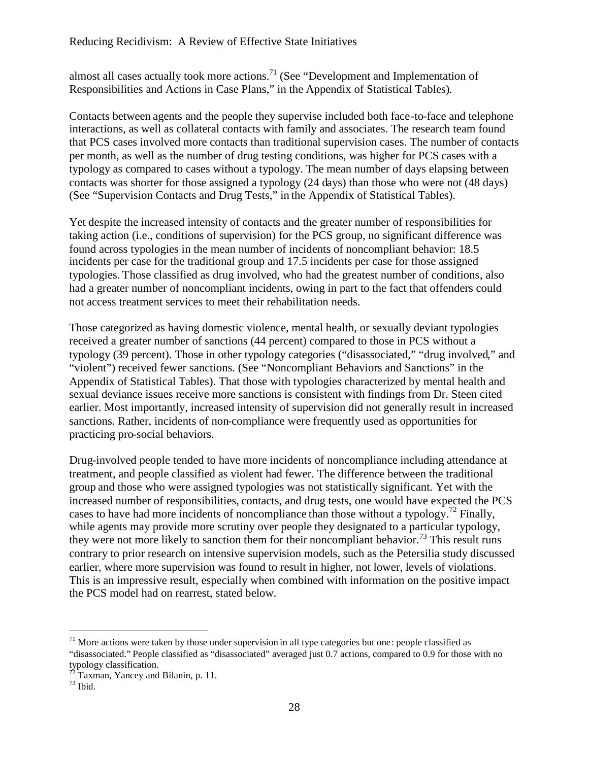almost all cases actually took more actions.<sup>71</sup> (See "Development and Implementation of Responsibilities and Actions in Case Plans," in the Appendix of Statistical Tables).

Contacts between agents and the people they supervise included both face-to-face and telephone interactions, as well as collateral contacts with family and associates. The research team found that PCS cases involved more contacts than traditional supervision cases. The number of contacts per month, as well as the number of drug testing conditions, was higher for PCS cases with a typology as compared to cases without a typology. The mean number of days elapsing between contacts was shorter for those assigned a typology (24 days) than those who were not (48 days) (See "Supervision Contacts and Drug Tests," in the Appendix of Statistical Tables).

Yet despite the increased intensity of contacts and the greater number of responsibilities for taking action (i.e., conditions of supervision) for the PCS group, no significant difference was found across typologies in the mean number of incidents of noncompliant behavior: 18.5 incidents per case for the traditional group and 17.5 incidents per case for those assigned typologies. Those classified as drug involved, who had the greatest number of conditions, also had a greater number of noncompliant incidents, owing in part to the fact that offenders could not access treatment services to meet their rehabilitation needs.

Those categorized as having domestic violence, mental health, or sexually deviant typologies received a greater number of sanctions (44 percent) compared to those in PCS without a typology (39 percent). Those in other typology categories ("disassociated," "drug involved," and "violent") received fewer sanctions. (See "Noncompliant Behaviors and Sanctions" in the Appendix of Statistical Tables). That those with typologies characterized by mental health and sexual deviance issues receive more sanctions is consistent with findings from Dr. Steen cited earlier. Most importantly, increased intensity of supervision did not generally result in increased sanctions. Rather, incidents of non-compliance were frequently used as opportunities for practicing pro-social behaviors.

Drug-involved people tended to have more incidents of noncompliance including attendance at treatment, and people classified as violent had fewer. The difference between the traditional group and those who were assigned typologies was not statistically significant. Yet with the increased number of responsibilities, contacts, and drug tests, one would have expected the PCS cases to have had more incidents of noncompliance than those without a typology.<sup>72</sup> Finally, while agents may provide more scrutiny over people they designated to a particular typology, they were not more likely to sanction them for their noncompliant behavior.<sup>73</sup> This result runs contrary to prior research on intensive supervision models, such as the Petersilia study discussed earlier, where more supervision was found to result in higher, not lower, levels of violations. This is an impressive result, especially when combined with information on the positive impact the PCS model had on rearrest, stated below.

 $71$  More actions were taken by those under supervision in all type categories but one: people classified as "disassociated." People classified as "disassociated" averaged just 0.7 actions, compared to 0.9 for those with no typology classification.

 $72$  Taxman, Yancey and Bilanin, p. 11.

 $73$  Ibid.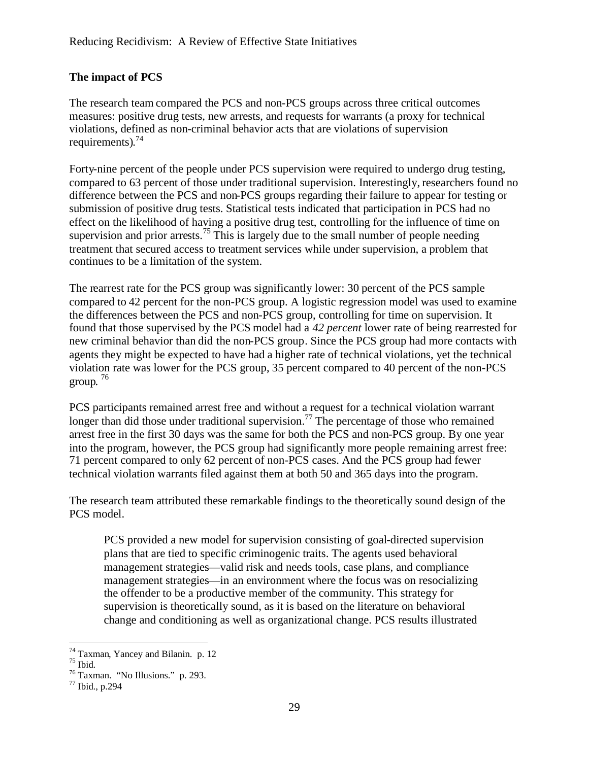## **The impact of PCS**

The research team compared the PCS and non-PCS groups across three critical outcomes measures: positive drug tests, new arrests, and requests for warrants (a proxy for technical violations, defined as non-criminal behavior acts that are violations of supervision requirements).<sup>74</sup>

Forty-nine percent of the people under PCS supervision were required to undergo drug testing, compared to 63 percent of those under traditional supervision. Interestingly, researchers found no difference between the PCS and non-PCS groups regarding their failure to appear for testing or submission of positive drug tests. Statistical tests indicated that participation in PCS had no effect on the likelihood of having a positive drug test, controlling for the influence of time on supervision and prior arrests.<sup>75</sup> This is largely due to the small number of people needing treatment that secured access to treatment services while under supervision, a problem that continues to be a limitation of the system.

The rearrest rate for the PCS group was significantly lower: 30 percent of the PCS sample compared to 42 percent for the non-PCS group. A logistic regression model was used to examine the differences between the PCS and non-PCS group, controlling for time on supervision. It found that those supervised by the PCS model had a *42 percent* lower rate of being rearrested for new criminal behavior than did the non-PCS group. Since the PCS group had more contacts with agents they might be expected to have had a higher rate of technical violations, yet the technical violation rate was lower for the PCS group, 35 percent compared to 40 percent of the non-PCS group. 76

PCS participants remained arrest free and without a request for a technical violation warrant longer than did those under traditional supervision.<sup>77</sup> The percentage of those who remained arrest free in the first 30 days was the same for both the PCS and non-PCS group. By one year into the program, however, the PCS group had significantly more people remaining arrest free: 71 percent compared to only 62 percent of non-PCS cases. And the PCS group had fewer technical violation warrants filed against them at both 50 and 365 days into the program.

The research team attributed these remarkable findings to the theoretically sound design of the PCS model.

PCS provided a new model for supervision consisting of goal-directed supervision plans that are tied to specific criminogenic traits. The agents used behavioral management strategies—valid risk and needs tools, case plans, and compliance management strategies—in an environment where the focus was on resocializing the offender to be a productive member of the community. This strategy for supervision is theoretically sound, as it is based on the literature on behavioral change and conditioning as well as organizational change. PCS results illustrated

 $T<sup>74</sup>$  Taxman, Yancey and Bilanin. p. 12

 $75$  Ibid.

<sup>76</sup> Taxman. "No Illusions." p. 293.

 $^{77}$  Ibid., p.294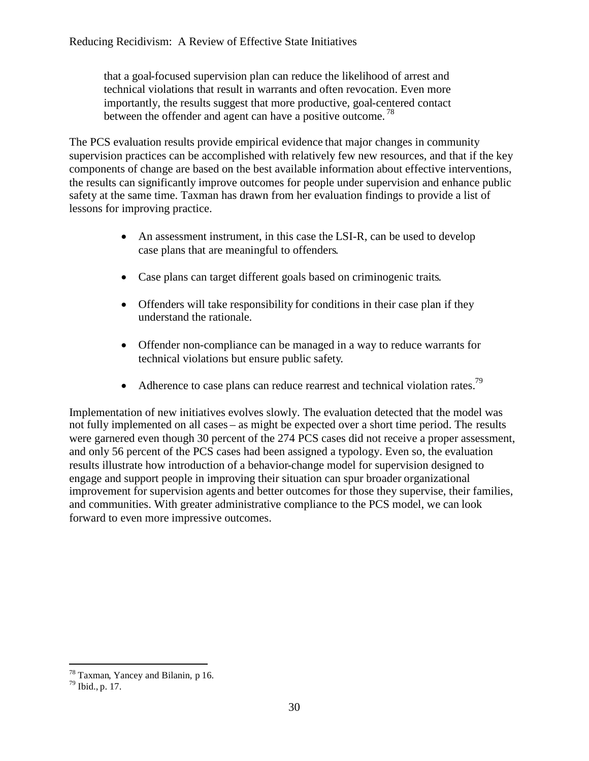that a goal-focused supervision plan can reduce the likelihood of arrest and technical violations that result in warrants and often revocation. Even more importantly, the results suggest that more productive, goal-centered contact between the offender and agent can have a positive outcome.<sup>78</sup>

The PCS evaluation results provide empirical evidence that major changes in community supervision practices can be accomplished with relatively few new resources, and that if the key components of change are based on the best available information about effective interventions, the results can significantly improve outcomes for people under supervision and enhance public safety at the same time. Taxman has drawn from her evaluation findings to provide a list of lessons for improving practice.

- An assessment instrument, in this case the LSI-R, can be used to develop case plans that are meaningful to offenders.
- Case plans can target different goals based on criminogenic traits.
- Offenders will take responsibility for conditions in their case plan if they understand the rationale.
- Offender non-compliance can be managed in a way to reduce warrants for technical violations but ensure public safety.
- Adherence to case plans can reduce rearrest and technical violation rates.<sup>79</sup>

Implementation of new initiatives evolves slowly. The evaluation detected that the model was not fully implemented on all cases – as might be expected over a short time period. The results were garnered even though 30 percent of the 274 PCS cases did not receive a proper assessment, and only 56 percent of the PCS cases had been assigned a typology. Even so, the evaluation results illustrate how introduction of a behavior-change model for supervision designed to engage and support people in improving their situation can spur broader organizational improvement for supervision agents and better outcomes for those they supervise, their families, and communities. With greater administrative compliance to the PCS model, we can look forward to even more impressive outcomes.

<sup>78</sup> Taxman, Yancey and Bilanin, p 16.

 $79$  Ibid., p. 17.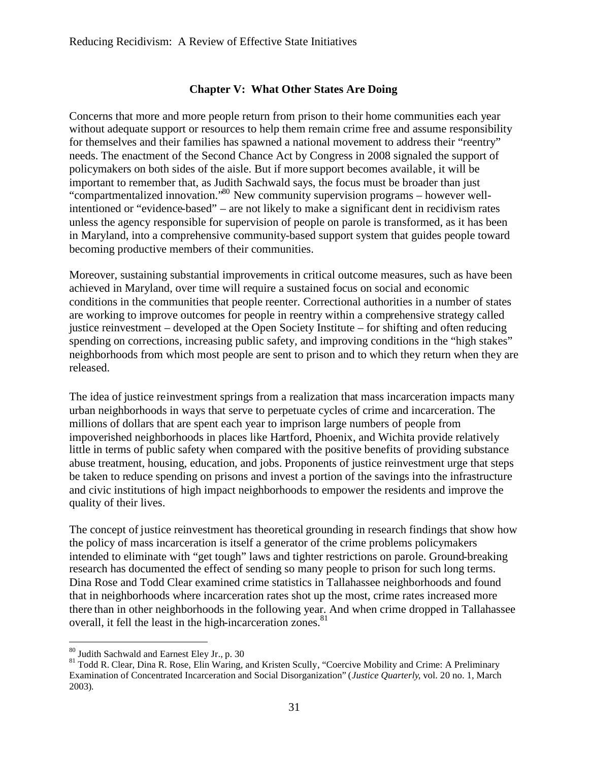#### **Chapter V: What Other States Are Doing**

Concerns that more and more people return from prison to their home communities each year without adequate support or resources to help them remain crime free and assume responsibility for themselves and their families has spawned a national movement to address their "reentry" needs. The enactment of the Second Chance Act by Congress in 2008 signaled the support of policymakers on both sides of the aisle. But if more support becomes available, it will be important to remember that, as Judith Sachwald says, the focus must be broader than just "compartmentalized innovation."<sup>80</sup> New community supervision programs – however wellintentioned or "evidence-based" – are not likely to make a significant dent in recidivism rates unless the agency responsible for supervision of people on parole is transformed, as it has been in Maryland, into a comprehensive community-based support system that guides people toward becoming productive members of their communities.

Moreover, sustaining substantial improvements in critical outcome measures, such as have been achieved in Maryland, over time will require a sustained focus on social and economic conditions in the communities that people reenter. Correctional authorities in a number of states are working to improve outcomes for people in reentry within a comprehensive strategy called justice reinvestment – developed at the Open Society Institute – for shifting and often reducing spending on corrections, increasing public safety, and improving conditions in the "high stakes" neighborhoods from which most people are sent to prison and to which they return when they are released.

The idea of justice reinvestment springs from a realization that mass incarceration impacts many urban neighborhoods in ways that serve to perpetuate cycles of crime and incarceration. The millions of dollars that are spent each year to imprison large numbers of people from impoverished neighborhoods in places like Hartford, Phoenix, and Wichita provide relatively little in terms of public safety when compared with the positive benefits of providing substance abuse treatment, housing, education, and jobs. Proponents of justice reinvestment urge that steps be taken to reduce spending on prisons and invest a portion of the savings into the infrastructure and civic institutions of high impact neighborhoods to empower the residents and improve the quality of their lives.

The concept of justice reinvestment has theoretical grounding in research findings that show how the policy of mass incarceration is itself a generator of the crime problems policymakers intended to eliminate with "get tough" laws and tighter restrictions on parole. Ground-breaking research has documented the effect of sending so many people to prison for such long terms. Dina Rose and Todd Clear examined crime statistics in Tallahassee neighborhoods and found that in neighborhoods where incarceration rates shot up the most, crime rates increased more there than in other neighborhoods in the following year. And when crime dropped in Tallahassee overall, it fell the least in the high-incarceration zones.<sup>81</sup>

<sup>80</sup> Judith Sachwald and Earnest Eley Jr., p. 30

<sup>81</sup> Todd R. Clear, Dina R. Rose, Elin Waring, and Kristen Scully, "Coercive Mobility and Crime: A Preliminary Examination of Concentrated Incarceration and Social Disorganization" (*Justice Quarterly,* vol. 20 no. 1, March 2003).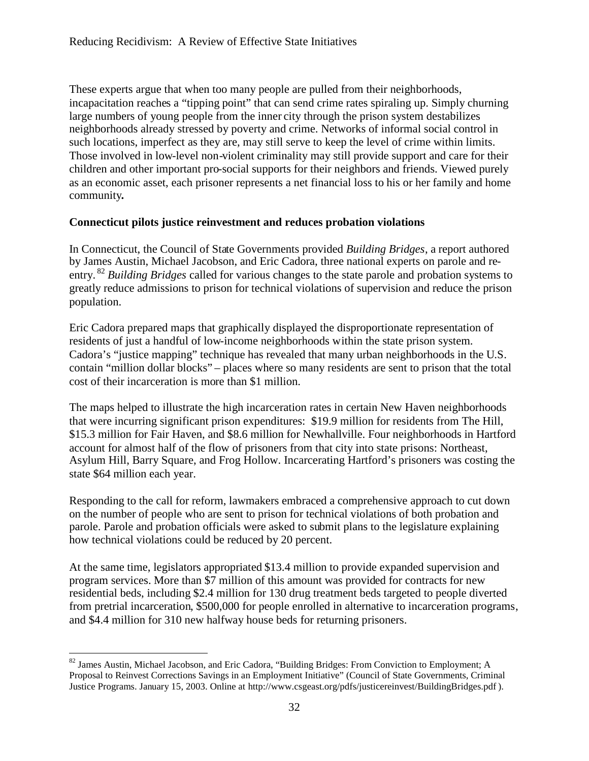These experts argue that when too many people are pulled from their neighborhoods, incapacitation reaches a "tipping point" that can send crime rates spiraling up. Simply churning large numbers of young people from the inner city through the prison system destabilizes neighborhoods already stressed by poverty and crime. Networks of informal social control in such locations, imperfect as they are, may still serve to keep the level of crime within limits. Those involved in low-level non-violent criminality may still provide support and care for their children and other important pro-social supports for their neighbors and friends. Viewed purely as an economic asset, each prisoner represents a net financial loss to his or her family and home community**.**

#### **Connecticut pilots justice reinvestment and reduces probation violations**

In Connecticut, the Council of State Governments provided *Building Bridges*, a report authored by James Austin, Michael Jacobson, and Eric Cadora, three national experts on parole and reentry. <sup>82</sup> *Building Bridges* called for various changes to the state parole and probation systems to greatly reduce admissions to prison for technical violations of supervision and reduce the prison population.

Eric Cadora prepared maps that graphically displayed the disproportionate representation of residents of just a handful of low-income neighborhoods within the state prison system. Cadora's "justice mapping" technique has revealed that many urban neighborhoods in the U.S. contain "million dollar blocks" – places where so many residents are sent to prison that the total cost of their incarceration is more than \$1 million.

The maps helped to illustrate the high incarceration rates in certain New Haven neighborhoods that were incurring significant prison expenditures: \$19.9 million for residents from The Hill, \$15.3 million for Fair Haven, and \$8.6 million for Newhallville. Four neighborhoods in Hartford account for almost half of the flow of prisoners from that city into state prisons: Northeast, Asylum Hill, Barry Square, and Frog Hollow. Incarcerating Hartford's prisoners was costing the state \$64 million each year.

Responding to the call for reform, lawmakers embraced a comprehensive approach to cut down on the number of people who are sent to prison for technical violations of both probation and parole. Parole and probation officials were asked to submit plans to the legislature explaining how technical violations could be reduced by 20 percent.

At the same time, legislators appropriated \$13.4 million to provide expanded supervision and program services. More than \$7 million of this amount was provided for contracts for new residential beds, including \$2.4 million for 130 drug treatment beds targeted to people diverted from pretrial incarceration, \$500,000 for people enrolled in alternative to incarceration programs, and \$4.4 million for 310 new halfway house beds for returning prisoners.

<sup>&</sup>lt;sup>82</sup> James Austin, Michael Jacobson, and Eric Cadora, "Building Bridges: From Conviction to Employment; A Proposal to Reinvest Corrections Savings in an Employment Initiative" (Council of State Governments, Criminal Justice Programs. January 15, 2003. Online at http://www.csgeast.org/pdfs/justicereinvest/BuildingBridges.pdf ).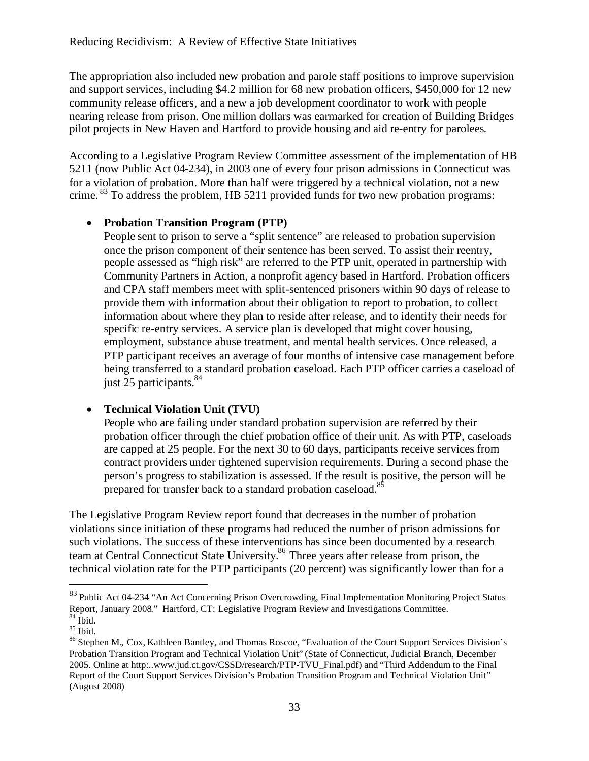The appropriation also included new probation and parole staff positions to improve supervision and support services, including \$4.2 million for 68 new probation officers, \$450,000 for 12 new community release officers, and a new a job development coordinator to work with people nearing release from prison. One million dollars was earmarked for creation of Building Bridges pilot projects in New Haven and Hartford to provide housing and aid re-entry for parolees.

According to a Legislative Program Review Committee assessment of the implementation of HB 5211 (now Public Act 04-234), in 2003 one of every four prison admissions in Connecticut was for a violation of probation. More than half were triggered by a technical violation, not a new crime. <sup>83</sup> To address the problem, HB 5211 provided funds for two new probation programs:

#### **Probation Transition Program (PTP)**

People sent to prison to serve a "split sentence" are released to probation supervision once the prison component of their sentence has been served. To assist their reentry, people assessed as "high risk" are referred to the PTP unit, operated in partnership with Community Partners in Action, a nonprofit agency based in Hartford. Probation officers and CPA staff members meet with split-sentenced prisoners within 90 days of release to provide them with information about their obligation to report to probation, to collect information about where they plan to reside after release, and to identify their needs for specific re-entry services. A service plan is developed that might cover housing, employment, substance abuse treatment, and mental health services. Once released, a PTP participant receives an average of four months of intensive case management before being transferred to a standard probation caseload. Each PTP officer carries a caseload of just 25 participants. $84$ 

## **Technical Violation Unit (TVU)**

People who are failing under standard probation supervision are referred by their probation officer through the chief probation office of their unit. As with PTP, caseloads are capped at 25 people. For the next 30 to 60 days, participants receive services from contract providers under tightened supervision requirements. During a second phase the person's progress to stabilization is assessed. If the result is positive, the person will be prepared for transfer back to a standard probation caseload.<sup>85</sup>

The Legislative Program Review report found that decreases in the number of probation violations since initiation of these programs had reduced the number of prison admissions for such violations. The success of these interventions has since been documented by a research team at Central Connecticut State University.<sup>86</sup> Three years after release from prison, the technical violation rate for the PTP participants (20 percent) was significantly lower than for a

<sup>&</sup>lt;sup>83</sup> Public Act 04-234 "An Act Concerning Prison Overcrowding, Final Implementation Monitoring Project Status Report, January 2008." Hartford, CT: Legislative Program Review and Investigations Committee.  $84$  Ibid.

 $85$  Ibid.

<sup>86</sup> Stephen M., Cox, Kathleen Bantley, and Thomas Roscoe, "Evaluation of the Court Support Services Division's Probation Transition Program and Technical Violation Unit" (State of Connecticut, Judicial Branch, December 2005. Online at http:..www.jud.ct.gov/CSSD/research/PTP-TVU\_Final.pdf) and "Third Addendum to the Final Report of the Court Support Services Division's Probation Transition Program and Technical Violation Unit" (August 2008)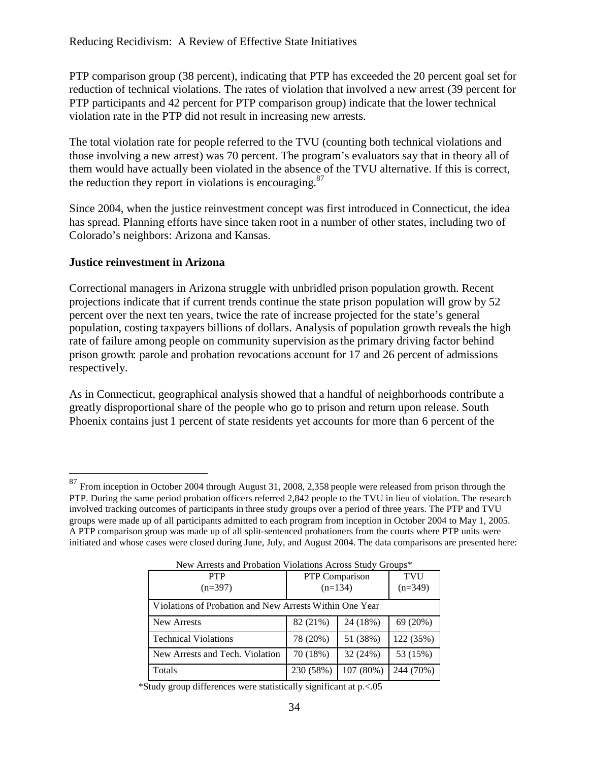PTP comparison group (38 percent), indicating that PTP has exceeded the 20 percent goal set for reduction of technical violations. The rates of violation that involved a new arrest (39 percent for PTP participants and 42 percent for PTP comparison group) indicate that the lower technical violation rate in the PTP did not result in increasing new arrests.

The total violation rate for people referred to the TVU (counting both technical violations and those involving a new arrest) was 70 percent. The program's evaluators say that in theory all of them would have actually been violated in the absence of the TVU alternative. If this is correct, the reduction they report in violations is encouraging. $87$ 

Since 2004, when the justice reinvestment concept was first introduced in Connecticut, the idea has spread. Planning efforts have since taken root in a number of other states, including two of Colorado's neighbors: Arizona and Kansas.

#### **Justice reinvestment in Arizona**

Correctional managers in Arizona struggle with unbridled prison population growth. Recent projections indicate that if current trends continue the state prison population will grow by 52 percent over the next ten years, twice the rate of increase projected for the state's general population, costing taxpayers billions of dollars. Analysis of population growth reveals the high rate of failure among people on community supervision asthe primary driving factor behind prison growth: parole and probation revocations account for 17 and 26 percent of admissions respectively.

As in Connecticut, geographical analysis showed that a handful of neighborhoods contribute a greatly disproportional share of the people who go to prison and return upon release. South Phoenix contains just 1 percent of state residents yet accounts for more than 6 percent of the

<sup>&</sup>lt;sup>87</sup> From inception in October 2004 through August 31, 2008, 2,358 people were released from prison through the PTP. During the same period probation officers referred 2,842 people to the TVU in lieu of violation. The research involved tracking outcomes of participants in three study groups over a period of three years. The PTP and TVU groups were made up of all participants admitted to each program from inception in October 2004 to May 1, 2005. A PTP comparison group was made up of all split-sentenced probationers from the courts where PTP units were initiated and whose cases were closed during June, July, and August 2004. The data comparisons are presented here:

| <b>PTP</b>                                              | <b>PTP</b> Comparison |           | <b>TVU</b> |  |
|---------------------------------------------------------|-----------------------|-----------|------------|--|
| $(n=397)$                                               | $(n=134)$             |           | $(n=349)$  |  |
| Violations of Probation and New Arrests Within One Year |                       |           |            |  |
|                                                         |                       |           |            |  |
| New Arrests                                             | 82 (21%)              | 24 (18%)  | 69 (20%)   |  |
| <b>Technical Violations</b>                             | 78 (20%)              | 51 (38%)  | 122 (35%)  |  |
| New Arrests and Tech. Violation                         | 70 (18%)              | 32 (24%)  | 53 (15%)   |  |
| Totals                                                  | 230 (58%)             | 107 (80%) | 244 (70%)  |  |

New Arrests and Probation Violations Across Study Groups\*

\*Study group differences were statistically significant at p.<.05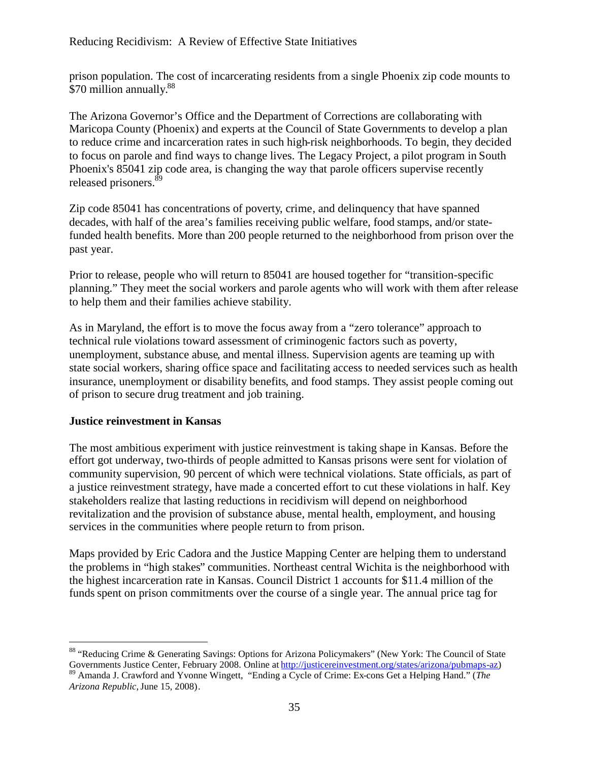prison population. The cost of incarcerating residents from a single Phoenix zip code mounts to \$70 million annually.<sup>88</sup>

The Arizona Governor's Office and the Department of Corrections are collaborating with Maricopa County (Phoenix) and experts at the Council of State Governments to develop a plan to reduce crime and incarceration rates in such high-risk neighborhoods. To begin, they decided to focus on parole and find ways to change lives. The Legacy Project, a pilot program in South Phoenix's 85041 zip code area, is changing the way that parole officers supervise recently released prisoners.<sup>8</sup>

Zip code 85041 has concentrations of poverty, crime, and delinquency that have spanned decades, with half of the area's families receiving public welfare, food stamps, and/or statefunded health benefits. More than 200 people returned to the neighborhood from prison over the past year.

Prior to release, people who will return to 85041 are housed together for "transition-specific planning." They meet the social workers and parole agents who will work with them after release to help them and their families achieve stability.

As in Maryland, the effort is to move the focus away from a "zero tolerance" approach to technical rule violations toward assessment of criminogenic factors such as poverty, unemployment, substance abuse, and mental illness. Supervision agents are teaming up with state social workers, sharing office space and facilitating access to needed services such as health insurance, unemployment or disability benefits, and food stamps. They assist people coming out of prison to secure drug treatment and job training.

#### **Justice reinvestment in Kansas**

The most ambitious experiment with justice reinvestment is taking shape in Kansas. Before the effort got underway, two-thirds of people admitted to Kansas prisons were sent for violation of community supervision, 90 percent of which were technical violations. State officials, as part of a justice reinvestment strategy, have made a concerted effort to cut these violations in half. Key stakeholders realize that lasting reductions in recidivism will depend on neighborhood revitalization and the provision of substance abuse, mental health, employment, and housing services in the communities where people return to from prison.

Maps provided by Eric Cadora and the Justice Mapping Center are helping them to understand the problems in "high stakes" communities. Northeast central Wichita is the neighborhood with the highest incarceration rate in Kansas. Council District 1 accounts for \$11.4 million of the funds spent on prison commitments over the course of a single year. The annual price tag for

<sup>&</sup>lt;sup>88</sup> "Reducing Crime & Generating Savings: Options for Arizona Policymakers" (New York: The Council of State Governments Justice Center, February 2008. Online at http://justicereinvestment.org/states/arizona/pubmaps-az)

<sup>89</sup> Amanda J. Crawford and Yvonne Wingett, "Ending a Cycle of Crime: Ex-cons Get a Helping Hand." (*The Arizona Republic,*June 15, 2008).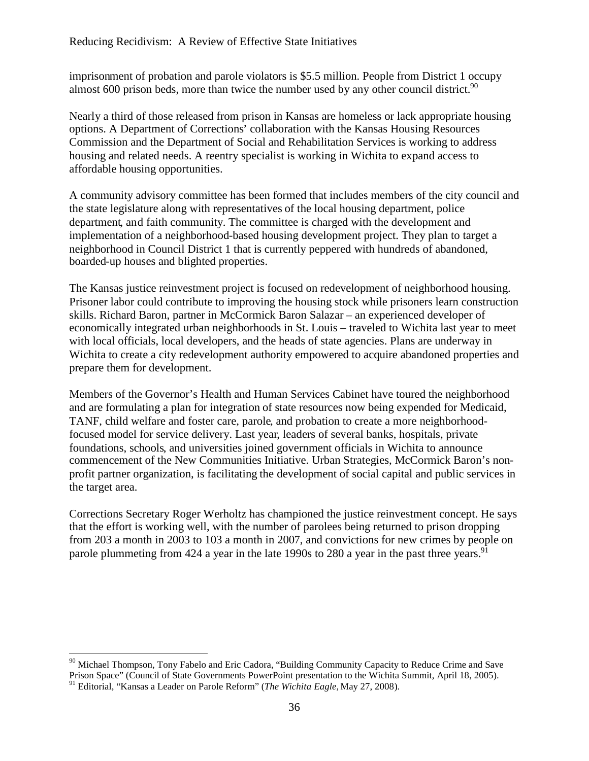imprisonment of probation and parole violators is \$5.5 million. People from District 1 occupy almost 600 prison beds, more than twice the number used by any other council district.<sup>90</sup>

Nearly a third of those released from prison in Kansas are homeless or lack appropriate housing options. A Department of Corrections' collaboration with the Kansas Housing Resources Commission and the Department of Social and Rehabilitation Services is working to address housing and related needs. A reentry specialist is working in Wichita to expand access to affordable housing opportunities.

A community advisory committee has been formed that includes members of the city council and the state legislature along with representatives of the local housing department, police department, and faith community. The committee is charged with the development and implementation of a neighborhood-based housing development project. They plan to target a neighborhood in Council District 1 that is currently peppered with hundreds of abandoned, boarded-up houses and blighted properties.

The Kansas justice reinvestment project is focused on redevelopment of neighborhood housing. Prisoner labor could contribute to improving the housing stock while prisoners learn construction skills. Richard Baron, partner in McCormick Baron Salazar – an experienced developer of economically integrated urban neighborhoods in St. Louis – traveled to Wichita last year to meet with local officials, local developers, and the heads of state agencies. Plans are underway in Wichita to create a city redevelopment authority empowered to acquire abandoned properties and prepare them for development.

Members of the Governor's Health and Human Services Cabinet have toured the neighborhood and are formulating a plan for integration of state resources now being expended for Medicaid, TANF, child welfare and foster care, parole, and probation to create a more neighborhoodfocused model for service delivery. Last year, leaders of several banks, hospitals, private foundations, schools, and universities joined government officials in Wichita to announce commencement of the New Communities Initiative. Urban Strategies, McCormick Baron's nonprofit partner organization, is facilitating the development of social capital and public services in the target area.

Corrections Secretary Roger Werholtz has championed the justice reinvestment concept. He says that the effort is working well, with the number of parolees being returned to prison dropping from 203 a month in 2003 to 103 a month in 2007, and convictions for new crimes by people on parole plummeting from  $424$  a year in the late 1990s to 280 a year in the past three years.<sup>91</sup>

 $90$  Michael Thompson, Tony Fabelo and Eric Cadora, "Building Community Capacity to Reduce Crime and Save Prison Space" (Council of State Governments PowerPoint presentation to the Wichita Summit, April 18, 2005).

<sup>91</sup> Editorial, "Kansas a Leader on Parole Reform" (*The Wichita Eagle,* May 27, 2008).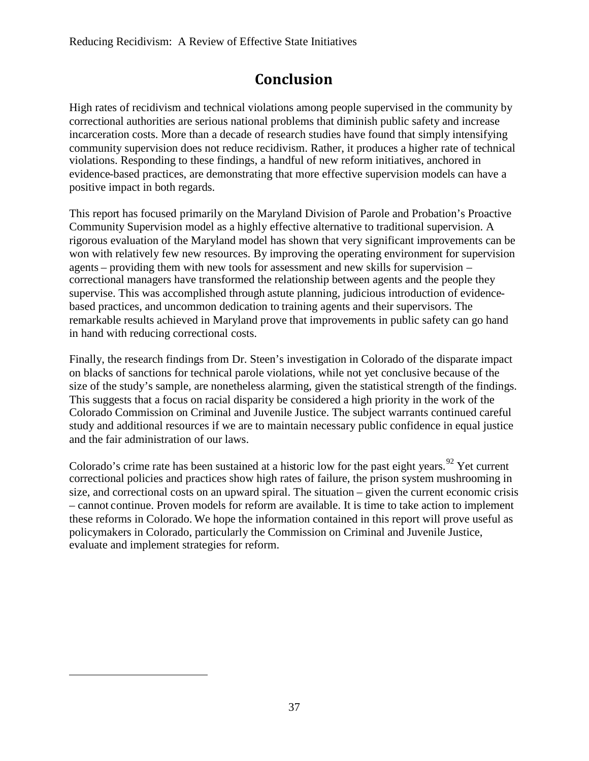## **Conclusion**

High rates of recidivism and technical violations among people supervised in the community by correctional authorities are serious national problems that diminish public safety and increase incarceration costs. More than a decade of research studies have found that simply intensifying community supervision does not reduce recidivism. Rather, it produces a higher rate of technical violations. Responding to these findings, a handful of new reform initiatives, anchored in evidence-based practices, are demonstrating that more effective supervision models can have a positive impact in both regards.

This report has focused primarily on the Maryland Division of Parole and Probation's Proactive Community Supervision model as a highly effective alternative to traditional supervision. A rigorous evaluation of the Maryland model has shown that very significant improvements can be won with relatively few new resources. By improving the operating environment for supervision agents – providing them with new tools for assessment and new skills for supervision – correctional managers have transformed the relationship between agents and the people they supervise. This was accomplished through astute planning, judicious introduction of evidencebased practices, and uncommon dedication to training agents and their supervisors. The remarkable results achieved in Maryland prove that improvements in public safety can go hand in hand with reducing correctional costs.

Finally, the research findings from Dr. Steen's investigation in Colorado of the disparate impact on blacks of sanctions for technical parole violations, while not yet conclusive because of the size of the study's sample, are nonetheless alarming, given the statistical strength of the findings. This suggests that a focus on racial disparity be considered a high priority in the work of the Colorado Commission on Criminal and Juvenile Justice. The subject warrants continued careful study and additional resources if we are to maintain necessary public confidence in equal justice and the fair administration of our laws.

Colorado's crime rate has been sustained at a historic low for the past eight years.<sup>92</sup> Yet current correctional policies and practices show high rates of failure, the prison system mushrooming in size, and correctional costs on an upward spiral. The situation – given the current economic crisis – cannot continue. Proven models for reform are available. It is time to take action to implement these reforms in Colorado. We hope the information contained in this report will prove useful as policymakers in Colorado, particularly the Commission on Criminal and Juvenile Justice, evaluate and implement strategies for reform.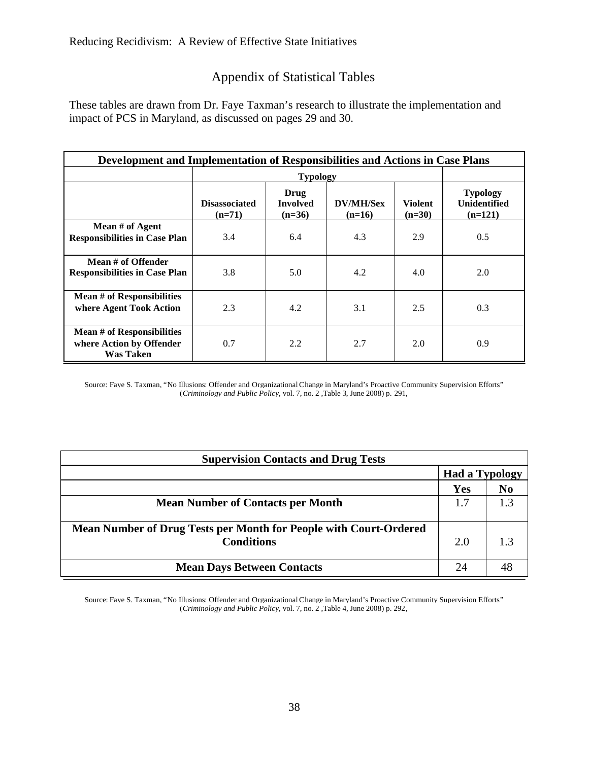## Appendix of Statistical Tables

These tables are drawn from Dr. Faye Taxman's research to illustrate the implementation and impact of PCS in Maryland, as discussed on pages 29 and 30.

| Development and Implementation of Responsibilities and Actions in Case Plans      |                                  |                                     |                              |                            |                                                     |
|-----------------------------------------------------------------------------------|----------------------------------|-------------------------------------|------------------------------|----------------------------|-----------------------------------------------------|
|                                                                                   | <b>Typology</b>                  |                                     |                              |                            |                                                     |
|                                                                                   | <b>Disassociated</b><br>$(n=71)$ | Drug<br><b>Involved</b><br>$(n=36)$ | <b>DV/MH/Sex</b><br>$(n=16)$ | <b>Violent</b><br>$(n=30)$ | <b>Typology</b><br><b>Unidentified</b><br>$(n=121)$ |
| Mean # of Agent<br><b>Responsibilities in Case Plan</b>                           | 3.4                              | 6.4                                 | 4.3                          | 2.9                        | 0.5                                                 |
| Mean # of Offender<br><b>Responsibilities in Case Plan</b>                        | 3.8                              | 5.0                                 | 4.2                          | 4.0                        | 2.0                                                 |
| <b>Mean # of Responsibilities</b><br>where Agent Took Action                      | 2.3                              | 4.2                                 | 3.1                          | 2.5                        | 0.3                                                 |
| <b>Mean # of Responsibilities</b><br>where Action by Offender<br><b>Was Taken</b> | 0.7                              | 2.2                                 | 2.7                          | 2.0                        | 0.9                                                 |

Source: Faye S. Taxman, "No Illusions: Offender and OrganizationalChange in Maryland's Proactive Community Supervision Efforts" (*Criminology and Public Policy*, vol. 7, no. 2 ,Table 3, June 2008) p. 291,

| <b>Supervision Contacts and Drug Tests</b>                        |                       |     |  |  |
|-------------------------------------------------------------------|-----------------------|-----|--|--|
|                                                                   | <b>Had a Typology</b> |     |  |  |
|                                                                   | Yes                   | No  |  |  |
| <b>Mean Number of Contacts per Month</b>                          | 1.7                   | 1.3 |  |  |
|                                                                   |                       |     |  |  |
| Mean Number of Drug Tests per Month for People with Court-Ordered |                       |     |  |  |
| <b>Conditions</b>                                                 | 2.0                   |     |  |  |
|                                                                   |                       |     |  |  |
| <b>Mean Days Between Contacts</b>                                 | 24                    |     |  |  |

Source: Faye S. Taxman, "No Illusions: Offender and OrganizationalChange in Maryland's Proactive Community Supervision Efforts" (*Criminology and Public Policy*, vol. 7, no. 2 ,Table 4, June 2008) p. 292,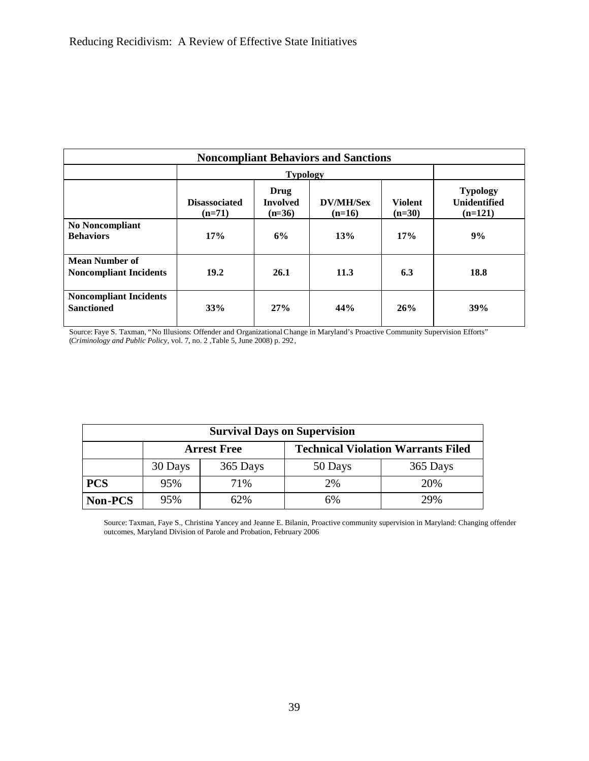| <b>Noncompliant Behaviors and Sanctions</b>            |                                  |                                     |                              |                            |                                                     |
|--------------------------------------------------------|----------------------------------|-------------------------------------|------------------------------|----------------------------|-----------------------------------------------------|
|                                                        |                                  | <b>Typology</b>                     |                              |                            |                                                     |
|                                                        | <b>Disassociated</b><br>$(n=71)$ | Drug<br><b>Involved</b><br>$(n=36)$ | <b>DV/MH/Sex</b><br>$(n=16)$ | <b>Violent</b><br>$(n=30)$ | <b>Typology</b><br><b>Unidentified</b><br>$(n=121)$ |
| <b>No Noncompliant</b><br><b>Behaviors</b>             | 17%                              | 6%                                  | 13%                          | 17%                        | 9%                                                  |
| <b>Mean Number of</b><br><b>Noncompliant Incidents</b> | 19.2                             | 26.1                                | 11.3                         | 6.3                        | 18.8                                                |
| <b>Noncompliant Incidents</b><br><b>Sanctioned</b>     | 33%                              | 27%                                 | 44%                          | 26%                        | 39%                                                 |

Source: Faye S. Taxman, "No Illusions: Offender and OrganizationalChange in Maryland's Proactive Community Supervision Efforts" (*Criminology and Public Policy*, vol. 7, no. 2 ,Table 5, June 2008) p. 292,

| <b>Survival Days on Supervision</b> |         |          |                                           |          |  |
|-------------------------------------|---------|----------|-------------------------------------------|----------|--|
| <b>Arrest Free</b>                  |         |          | <b>Technical Violation Warrants Filed</b> |          |  |
|                                     | 30 Days | 365 Days | 50 Days                                   | 365 Days |  |
| <b>PCS</b>                          | 95%     | 71%      | 2%                                        | 20%      |  |
| <b>Non-PCS</b>                      | 95%     | 62%      | 6%                                        | 29%      |  |

Source: Taxman, Faye S., Christina Yancey and Jeanne E. Bilanin, Proactive community supervision in Maryland: Changing offender outcomes, Maryland Division of Parole and Probation, February 2006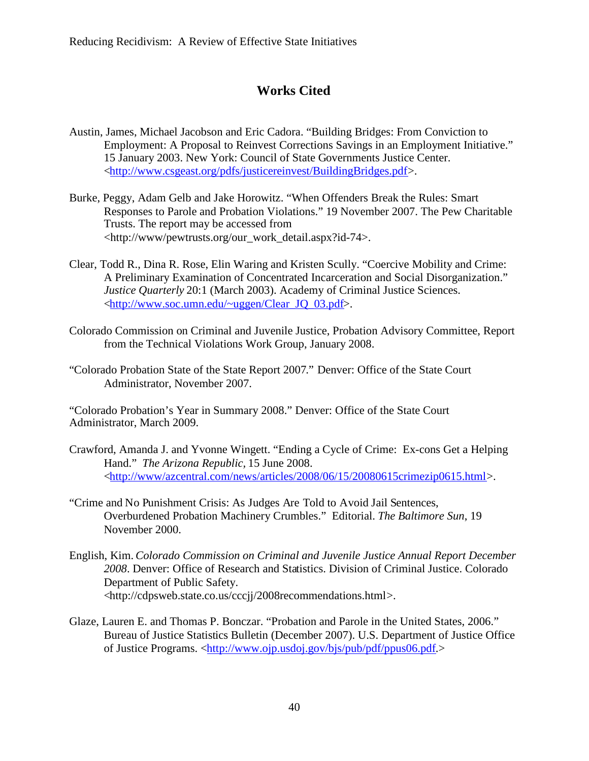## **Works Cited**

- Austin, James, Michael Jacobson and Eric Cadora. "Building Bridges: From Conviction to Employment: A Proposal to Reinvest Corrections Savings in an Employment Initiative." 15 January 2003. New York: Council of State Governments Justice Center. <http://www.csgeast.org/pdfs/justicereinvest/BuildingBridges.pdf>.
- Burke, Peggy, Adam Gelb and Jake Horowitz. "When Offenders Break the Rules: Smart Responses to Parole and Probation Violations." 19 November 2007. The Pew Charitable Trusts. The report may be accessed from <http://www/pewtrusts.org/our\_work\_detail.aspx?id-74>.
- Clear, Todd R., Dina R. Rose, Elin Waring and Kristen Scully. "Coercive Mobility and Crime: A Preliminary Examination of Concentrated Incarceration and Social Disorganization." *Justice Quarterly* 20:1 (March 2003). Academy of Criminal Justice Sciences. <http://www.soc.umn.edu/~uggen/Clear\_JQ\_03.pdf>.
- Colorado Commission on Criminal and Juvenile Justice, Probation Advisory Committee, Report from the Technical Violations Work Group, January 2008.
- "Colorado Probation State of the State Report 2007." Denver: Office of the State Court Administrator, November 2007.

"Colorado Probation's Year in Summary 2008." Denver: Office of the State Court Administrator, March 2009.

- Crawford, Amanda J. and Yvonne Wingett. "Ending a Cycle of Crime: Ex-cons Get a Helping Hand." *The Arizona Republic,* 15 June 2008. <http://www/azcentral.com/news/articles/2008/06/15/20080615crimezip0615.html>.
- "Crime and No Punishment Crisis: As Judges Are Told to Avoid Jail Sentences, Overburdened Probation Machinery Crumbles." Editorial. *The Baltimore Sun*, 19 November 2000.
- English, Kim. *Colorado Commission on Criminal and Juvenile Justice Annual Report December 2008*. Denver: Office of Research and Statistics. Division of Criminal Justice. Colorado Department of Public Safety. <http://cdpsweb.state.co.us/cccjj/2008recommendations.html>.
- Glaze, Lauren E. and Thomas P. Bonczar. "Probation and Parole in the United States, 2006." Bureau of Justice Statistics Bulletin (December 2007). U.S. Department of Justice Office of Justice Programs. <http://www.ojp.usdoj.gov/bjs/pub/pdf/ppus06.pdf.>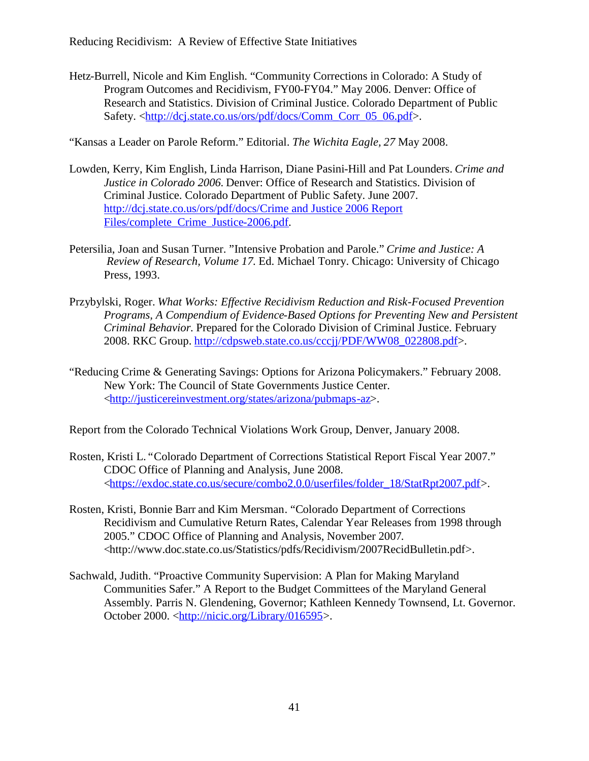Hetz-Burrell, Nicole and Kim English. "Community Corrections in Colorado: A Study of Program Outcomes and Recidivism, FY00-FY04." May 2006. Denver: Office of Research and Statistics. Division of Criminal Justice. Colorado Department of Public Safety. <http://dcj.state.co.us/ors/pdf/docs/Comm\_Corr\_05\_06.pdf>.

"Kansas a Leader on Parole Reform." Editorial. *The Wichita Eagle, 27* May 2008.

- Lowden, Kerry, Kim English, Linda Harrison, Diane Pasini-Hill and Pat Lounders. *Crime and Justice in Colorado 2006.* Denver: Office of Research and Statistics. Division of Criminal Justice. Colorado Department of Public Safety. June 2007. http://dcj.state.co.us/ors/pdf/docs/Crime and Justice 2006 Report Files/complete Crime Justice-2006.pdf.
- Petersilia, Joan and Susan Turner. "Intensive Probation and Parole." *Crime and Justice: A Review of Research, Volume 17.* Ed. Michael Tonry. Chicago: University of Chicago Press, 1993.
- Przybylski, Roger. *What Works: Effective Recidivism Reduction and Risk-Focused Prevention Programs, A Compendium of Evidence-Based Options for Preventing New and Persistent Criminal Behavior.* Prepared for the Colorado Division of Criminal Justice. February 2008. RKC Group. http://cdpsweb.state.co.us/cccjj/PDF/WW08\_022808.pdf>.
- "Reducing Crime & Generating Savings: Options for Arizona Policymakers." February 2008. New York: The Council of State Governments Justice Center. <http://justicereinvestment.org/states/arizona/pubmaps-az>.

Report from the Colorado Technical Violations Work Group, Denver, January 2008.

- Rosten, Kristi L. "Colorado Department of Corrections Statistical Report Fiscal Year 2007." CDOC Office of Planning and Analysis, June 2008. <https://exdoc.state.co.us/secure/combo2.0.0/userfiles/folder\_18/StatRpt2007.pdf>.
- Rosten, Kristi, Bonnie Barr and Kim Mersman. "Colorado Department of Corrections Recidivism and Cumulative Return Rates, Calendar Year Releases from 1998 through 2005." CDOC Office of Planning and Analysis, November 2007. <http://www.doc.state.co.us/Statistics/pdfs/Recidivism/2007RecidBulletin.pdf>.
- Sachwald, Judith. "Proactive Community Supervision: A Plan for Making Maryland Communities Safer." A Report to the Budget Committees of the Maryland General Assembly. Parris N. Glendening, Governor; Kathleen Kennedy Townsend, Lt. Governor. October 2000. <http://nicic.org/Library/016595>.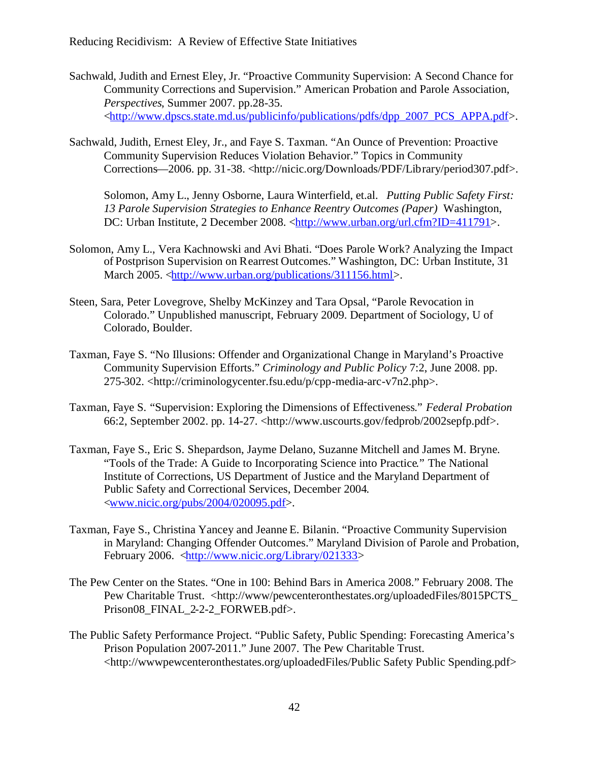- Sachwald, Judith and Ernest Eley, Jr. "Proactive Community Supervision: A Second Chance for Community Corrections and Supervision." American Probation and Parole Association, *Perspectives*, Summer 2007. pp.28-35. <http://www.dpscs.state.md.us/publicinfo/publications/pdfs/dpp\_2007\_PCS\_APPA.pdf>.
- Sachwald, Judith, Ernest Eley, Jr., and Faye S. Taxman. "An Ounce of Prevention: Proactive Community Supervision Reduces Violation Behavior." Topics in Community Corrections—2006. pp. 31-38. <http://nicic.org/Downloads/PDF/Library/period307.pdf>.

Solomon, Amy L., Jenny Osborne, Laura Winterfield, et.al. *Putting Public Safety First: 13 Parole Supervision Strategies to Enhance Reentry Outcomes (Paper)* Washington, DC: Urban Institute, 2 December 2008. <http://www.urban.org/url.cfm?ID=411791>.

- Solomon, Amy L., Vera Kachnowski and Avi Bhati. "Does Parole Work? Analyzing the Impact of Postprison Supervision on Rearrest Outcomes." Washington, DC: Urban Institute, 31 March 2005. <http://www.urban.org/publications/311156.html>.
- Steen, Sara, Peter Lovegrove, Shelby McKinzey and Tara Opsal, "Parole Revocation in Colorado." Unpublished manuscript, February 2009. Department of Sociology, U of Colorado, Boulder.
- Taxman, Faye S. "No Illusions: Offender and Organizational Change in Maryland's Proactive Community Supervision Efforts." *Criminology and Public Policy* 7:2, June 2008. pp. 275-302. <http://criminologycenter.fsu.edu/p/cpp-media-arc-v7n2.php>.
- Taxman, Faye S. "Supervision: Exploring the Dimensions of Effectiveness." *Federal Probation* 66:2, September 2002. pp. 14-27. <http://www.uscourts.gov/fedprob/2002sepfp.pdf>.
- Taxman, Faye S., Eric S. Shepardson, Jayme Delano, Suzanne Mitchell and James M. Bryne. "Tools of the Trade: A Guide to Incorporating Science into Practice*.*" The National Institute of Corrections, US Department of Justice and the Maryland Department of Public Safety and Correctional Services, December 2004. <www.nicic.org/pubs/2004/020095.pdf>.
- Taxman, Faye S., Christina Yancey and Jeanne E. Bilanin. "Proactive Community Supervision in Maryland: Changing Offender Outcomes." Maryland Division of Parole and Probation, February 2006. <http://www.nicic.org/Library/021333>
- The Pew Center on the States. "One in 100: Behind Bars in America 2008." February 2008. The Pew Charitable Trust. <http://www/pewcenteronthestates.org/uploadedFiles/8015PCTS Prison08\_FINAL\_2-2-2\_FORWEB.pdf>.
- The Public Safety Performance Project. "Public Safety, Public Spending: Forecasting America's Prison Population 2007-2011." June 2007. The Pew Charitable Trust. <http://wwwpewcenteronthestates.org/uploadedFiles/Public Safety Public Spending.pdf>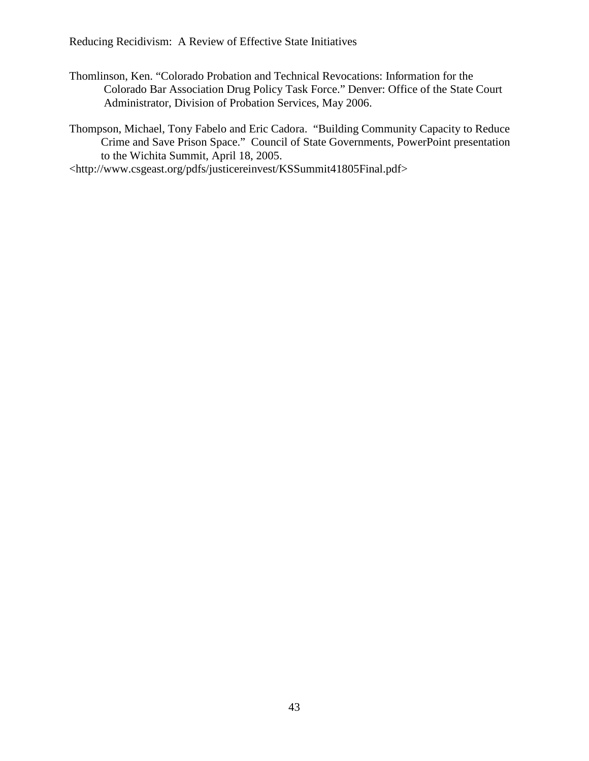Thomlinson, Ken. "Colorado Probation and Technical Revocations: Information for the Colorado Bar Association Drug Policy Task Force." Denver: Office of the State Court Administrator, Division of Probation Services, May 2006.

Thompson, Michael, Tony Fabelo and Eric Cadora. "Building Community Capacity to Reduce Crime and Save Prison Space." Council of State Governments, PowerPoint presentation to the Wichita Summit, April 18, 2005.

<http://www.csgeast.org/pdfs/justicereinvest/KSSummit41805Final.pdf>